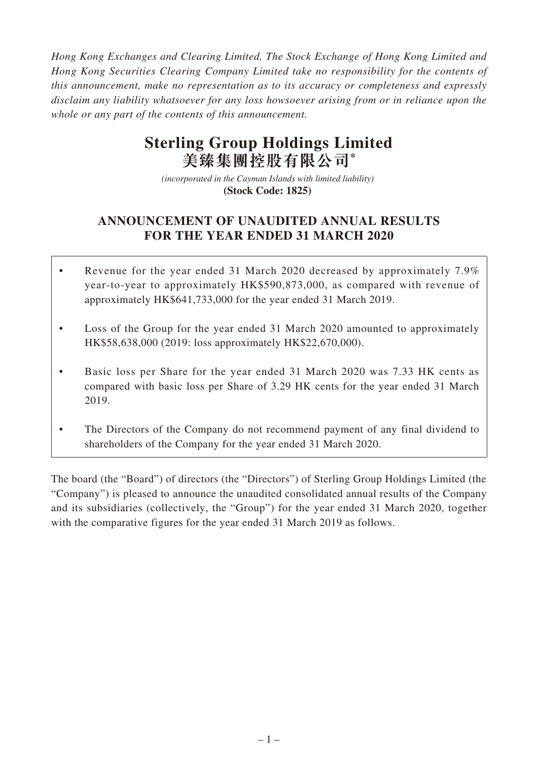*Hong Kong Exchanges and Clearing Limited, The Stock Exchange of Hong Kong Limited and Hong Kong Securities Clearing Company Limited take no responsibility for the contents of this announcement, make no representation as to its accuracy or completeness and expressly disclaim any liability whatsoever for any loss howsoever arising from or in reliance upon the whole or any part of the contents of this announcement.*

# **Sterling Group Holdings Limited 美臻集團控股有限公司\***

*(incorporated in the Cayman Islands with limited liability)*  **(Stock Code: 1825)** 

# **ANNOUNCEMENT OF UNAUDITED ANNUAL RESULTS FOR THE YEAR ENDED 31 MARCH 2020**

- Revenue for the year ended 31 March 2020 decreased by approximately 7.9% year-to-year to approximately HK\$590,873,000, as compared with revenue of approximately HK\$641,733,000 for the year ended 31 March 2019.
- Loss of the Group for the year ended 31 March 2020 amounted to approximately HK\$58,638,000 (2019: loss approximately HK\$22,670,000).
- Basic loss per Share for the year ended 31 March 2020 was 7.33 HK cents as compared with basic loss per Share of 3.29 HK cents for the year ended 31 March 2019.
- The Directors of the Company do not recommend payment of any final dividend to shareholders of the Company for the year ended 31 March 2020.

The board (the "Board") of directors (the "Directors") of Sterling Group Holdings Limited (the "Company") is pleased to announce the unaudited consolidated annual results of the Company and its subsidiaries (collectively, the "Group") for the year ended 31 March 2020, together with the comparative figures for the year ended 31 March 2019 as follows.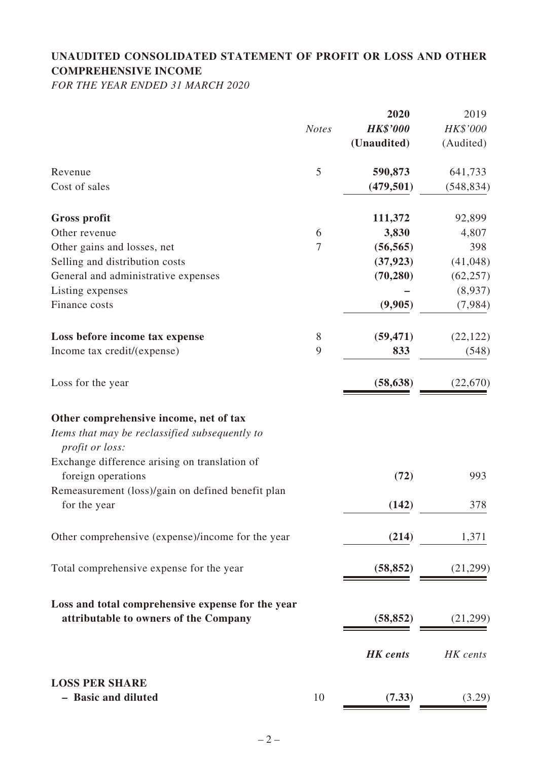# **UNAUDITED CONSOLIDATED STATEMENT OF PROFIT OR LOSS AND OTHER COMPREHENSIVE INCOME**

*FOR THE YEAR ENDED 31 MARCH 2020*

|                                                                                          |              | 2020            | 2019       |
|------------------------------------------------------------------------------------------|--------------|-----------------|------------|
|                                                                                          | <b>Notes</b> | <b>HK\$'000</b> | HK\$'000   |
|                                                                                          |              | (Unaudited)     | (Audited)  |
| Revenue                                                                                  | 5            | 590,873         | 641,733    |
| Cost of sales                                                                            |              | (479, 501)      | (548, 834) |
| <b>Gross profit</b>                                                                      |              | 111,372         | 92,899     |
| Other revenue                                                                            | 6            | 3,830           | 4,807      |
| Other gains and losses, net                                                              | 7            | (56, 565)       | 398        |
| Selling and distribution costs                                                           |              | (37, 923)       | (41,048)   |
| General and administrative expenses                                                      |              | (70, 280)       | (62, 257)  |
| Listing expenses                                                                         |              |                 | (8,937)    |
| Finance costs                                                                            |              | (9,905)         | (7,984)    |
| Loss before income tax expense                                                           | 8            | (59, 471)       | (22, 122)  |
| Income tax credit/(expense)                                                              | 9            | 833             | (548)      |
| Loss for the year                                                                        |              | (58, 638)       | (22,670)   |
| Other comprehensive income, net of tax<br>Items that may be reclassified subsequently to |              |                 |            |
| profit or loss:                                                                          |              |                 |            |
| Exchange difference arising on translation of<br>foreign operations                      |              | (72)            | 993        |
| Remeasurement (loss)/gain on defined benefit plan                                        |              |                 |            |
| for the year                                                                             |              | (142)           | 378        |
| Other comprehensive (expense)/income for the year                                        |              | (214)           | 1,371      |
| Total comprehensive expense for the year                                                 |              | (58, 852)       | (21,299)   |
| Loss and total comprehensive expense for the year                                        |              |                 |            |
| attributable to owners of the Company                                                    |              | (58, 852)       | (21,299)   |
|                                                                                          |              | <b>HK</b> cents | HK cents   |
| <b>LOSS PER SHARE</b>                                                                    |              |                 |            |
| - Basic and diluted                                                                      | 10           | (7.33)          | (3.29)     |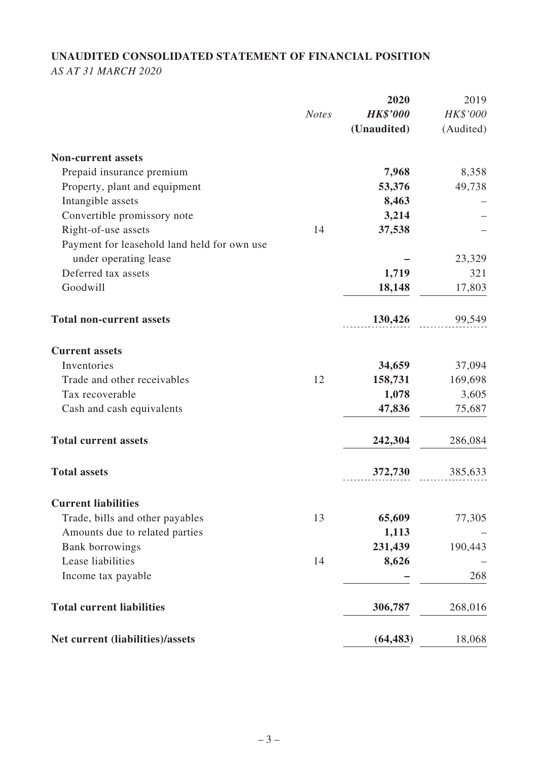# **UNAUDITED CONSOLIDATED STATEMENT OF FINANCIAL POSITION**

*AS AT 31 MARCH 2020*

|                                                                      |              | 2020            | 2019      |
|----------------------------------------------------------------------|--------------|-----------------|-----------|
|                                                                      | <b>Notes</b> | <b>HK\$'000</b> | HK\$'000  |
|                                                                      |              | (Unaudited)     | (Audited) |
| <b>Non-current assets</b>                                            |              |                 |           |
| Prepaid insurance premium                                            |              | 7,968           | 8,358     |
| Property, plant and equipment                                        |              | 53,376          | 49,738    |
| Intangible assets                                                    |              | 8,463           |           |
| Convertible promissory note                                          |              | 3,214           |           |
| Right-of-use assets                                                  | 14           | 37,538          |           |
| Payment for leasehold land held for own use<br>under operating lease |              |                 | 23,329    |
| Deferred tax assets                                                  |              | 1,719           | 321       |
| Goodwill                                                             |              |                 | 17,803    |
|                                                                      |              | 18,148          |           |
| <b>Total non-current assets</b>                                      |              | 130,426         | 99,549    |
| <b>Current assets</b>                                                |              |                 |           |
| Inventories                                                          |              | 34,659          | 37,094    |
| Trade and other receivables                                          | 12           | 158,731         | 169,698   |
| Tax recoverable                                                      |              | 1,078           | 3,605     |
| Cash and cash equivalents                                            |              | 47,836          | 75,687    |
| <b>Total current assets</b>                                          |              | 242,304         | 286,084   |
| <b>Total assets</b>                                                  |              | 372,730         | 385,633   |
| <b>Current liabilities</b>                                           |              |                 |           |
| Trade, bills and other payables                                      | 13           | 65,609          | 77,305    |
| Amounts due to related parties                                       |              | 1,113           |           |
| <b>Bank borrowings</b>                                               |              | 231,439         | 190,443   |
| Lease liabilities                                                    | 14           | 8,626           |           |
| Income tax payable                                                   |              |                 | 268       |
| <b>Total current liabilities</b>                                     |              | 306,787         | 268,016   |
| Net current (liabilities)/assets                                     |              | (64, 483)       | 18,068    |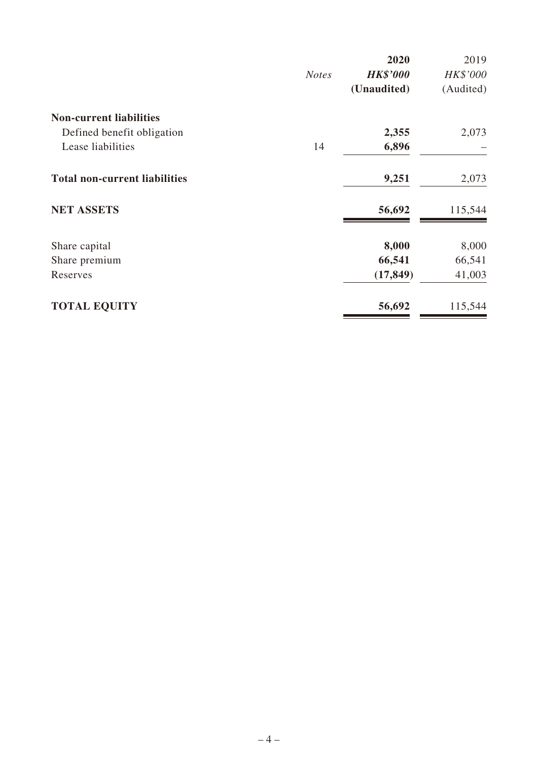|                                      |              | 2020            | 2019      |
|--------------------------------------|--------------|-----------------|-----------|
|                                      | <b>Notes</b> | <b>HK\$'000</b> | HK\$'000  |
|                                      |              | (Unaudited)     | (Audited) |
| <b>Non-current liabilities</b>       |              |                 |           |
| Defined benefit obligation           |              | 2,355           | 2,073     |
| Lease liabilities                    | 14           | 6,896           |           |
| <b>Total non-current liabilities</b> |              | 9,251           | 2,073     |
| <b>NET ASSETS</b>                    |              | 56,692          | 115,544   |
| Share capital                        |              | 8,000           | 8,000     |
| Share premium                        |              | 66,541          | 66,541    |
| Reserves                             |              | (17, 849)       | 41,003    |
| <b>TOTAL EQUITY</b>                  |              | 56,692          | 115,544   |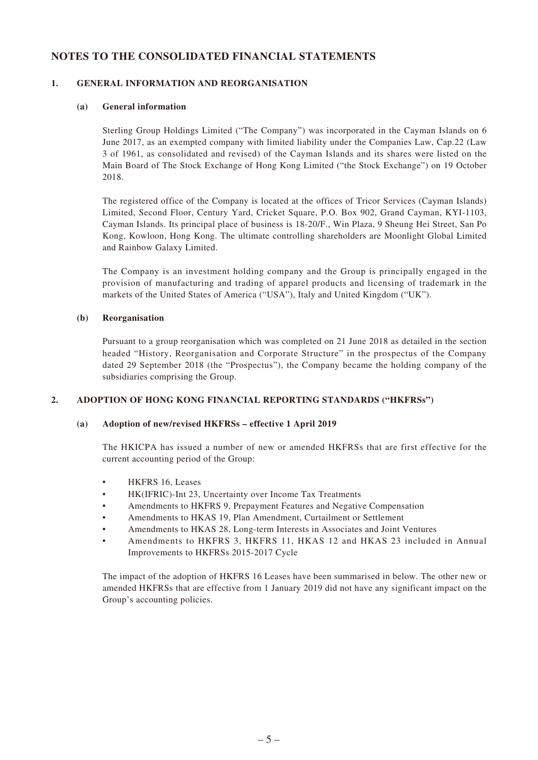## **NOTES TO THE CONSOLIDATED FINANCIAL STATEMENTS**

#### **1. GENERAL INFORMATION AND REORGANISATION**

#### **(a) General information**

Sterling Group Holdings Limited ("The Company") was incorporated in the Cayman Islands on 6 June 2017, as an exempted company with limited liability under the Companies Law, Cap.22 (Law 3 of 1961, as consolidated and revised) of the Cayman Islands and its shares were listed on the Main Board of The Stock Exchange of Hong Kong Limited ("the Stock Exchange") on 19 October 2018.

The registered office of the Company is located at the offices of Tricor Services (Cayman Islands) Limited, Second Floor, Century Yard, Cricket Square, P.O. Box 902, Grand Cayman, KYI-1103, Cayman Islands. Its principal place of business is 18-20/F., Win Plaza, 9 Sheung Hei Street, San Po Kong, Kowloon, Hong Kong. The ultimate controlling shareholders are Moonlight Global Limited and Rainbow Galaxy Limited.

The Company is an investment holding company and the Group is principally engaged in the provision of manufacturing and trading of apparel products and licensing of trademark in the markets of the United States of America ("USA"), Italy and United Kingdom ("UK").

#### **(b) Reorganisation**

Pursuant to a group reorganisation which was completed on 21 June 2018 as detailed in the section headed "History, Reorganisation and Corporate Structure" in the prospectus of the Company dated 29 September 2018 (the "Prospectus"), the Company became the holding company of the subsidiaries comprising the Group.

#### **2. ADOPTION OF HONG KONG FINANCIAL REPORTING STANDARDS ("HKFRSs")**

#### **(a) Adoption of new/revised HKFRSs – effective 1 April 2019**

The HKICPA has issued a number of new or amended HKFRSs that are first effective for the current accounting period of the Group:

- HKFRS 16, Leases
- HK(IFRIC)-Int 23, Uncertainty over Income Tax Treatments
- Amendments to HKFRS 9, Prepayment Features and Negative Compensation
- Amendments to HKAS 19, Plan Amendment, Curtailment or Settlement
- Amendments to HKAS 28, Long-term Interests in Associates and Joint Ventures
- Amendments to HKFRS 3, HKFRS 11, HKAS 12 and HKAS 23 included in Annual Improvements to HKFRSs 2015-2017 Cycle

The impact of the adoption of HKFRS 16 Leases have been summarised in below. The other new or amended HKFRSs that are effective from 1 January 2019 did not have any significant impact on the Group's accounting policies.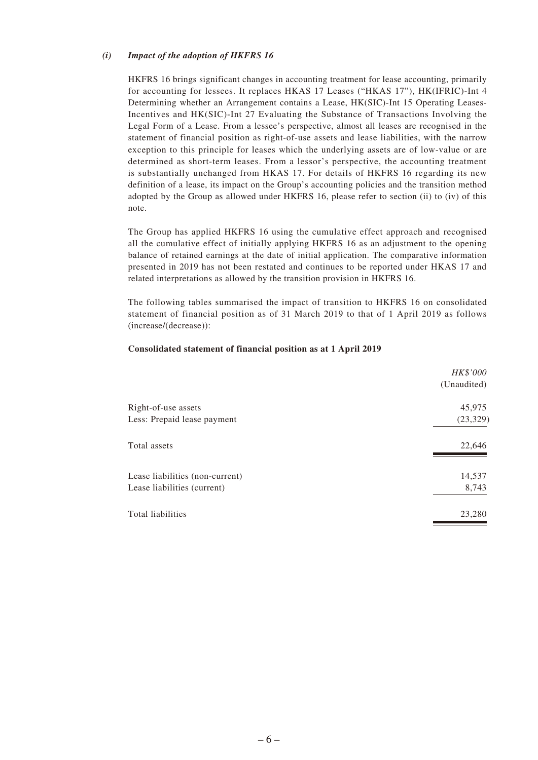#### *(i) Impact of the adoption of HKFRS 16*

HKFRS 16 brings significant changes in accounting treatment for lease accounting, primarily for accounting for lessees. It replaces HKAS 17 Leases ("HKAS 17"), HK(IFRIC)-Int 4 Determining whether an Arrangement contains a Lease, HK(SIC)-Int 15 Operating Leases-Incentives and HK(SIC)-Int 27 Evaluating the Substance of Transactions Involving the Legal Form of a Lease. From a lessee's perspective, almost all leases are recognised in the statement of financial position as right-of-use assets and lease liabilities, with the narrow exception to this principle for leases which the underlying assets are of low-value or are determined as short-term leases. From a lessor's perspective, the accounting treatment is substantially unchanged from HKAS 17. For details of HKFRS 16 regarding its new definition of a lease, its impact on the Group's accounting policies and the transition method adopted by the Group as allowed under HKFRS 16, please refer to section (ii) to (iv) of this note.

The Group has applied HKFRS 16 using the cumulative effect approach and recognised all the cumulative effect of initially applying HKFRS 16 as an adjustment to the opening balance of retained earnings at the date of initial application. The comparative information presented in 2019 has not been restated and continues to be reported under HKAS 17 and related interpretations as allowed by the transition provision in HKFRS 16.

The following tables summarised the impact of transition to HKFRS 16 on consolidated statement of financial position as of 31 March 2019 to that of 1 April 2019 as follows (increase/(decrease)):

#### **Consolidated statement of financial position as at 1 April 2019**

|                                 | HK\$'000<br>(Unaudited) |
|---------------------------------|-------------------------|
|                                 |                         |
| Right-of-use assets             | 45,975                  |
| Less: Prepaid lease payment     | (23, 329)               |
| Total assets                    | 22,646                  |
| Lease liabilities (non-current) | 14,537                  |
| Lease liabilities (current)     | 8,743                   |
| Total liabilities               | 23,280                  |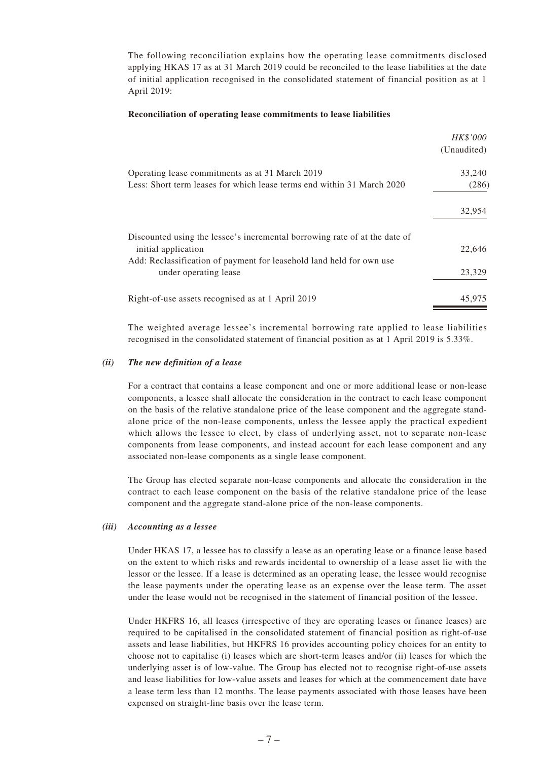The following reconciliation explains how the operating lease commitments disclosed applying HKAS 17 as at 31 March 2019 could be reconciled to the lease liabilities at the date of initial application recognised in the consolidated statement of financial position as at 1 April 2019:

#### **Reconciliation of operating lease commitments to lease liabilities**

|                                                                                                   | <i>HK\$'000</i><br>(Unaudited) |
|---------------------------------------------------------------------------------------------------|--------------------------------|
| Operating lease commitments as at 31 March 2019                                                   | 33,240                         |
| Less: Short term leases for which lease terms end within 31 March 2020                            | (286)                          |
|                                                                                                   | 32,954                         |
| Discounted using the lessee's incremental borrowing rate of at the date of<br>initial application | 22,646                         |
| Add: Reclassification of payment for leasehold land held for own use<br>under operating lease     | 23,329                         |
| Right-of-use assets recognised as at 1 April 2019                                                 | 45,975                         |

The weighted average lessee's incremental borrowing rate applied to lease liabilities recognised in the consolidated statement of financial position as at 1 April 2019 is 5.33%.

#### *(ii) The new definition of a lease*

For a contract that contains a lease component and one or more additional lease or non-lease components, a lessee shall allocate the consideration in the contract to each lease component on the basis of the relative standalone price of the lease component and the aggregate standalone price of the non-lease components, unless the lessee apply the practical expedient which allows the lessee to elect, by class of underlying asset, not to separate non-lease components from lease components, and instead account for each lease component and any associated non-lease components as a single lease component.

The Group has elected separate non-lease components and allocate the consideration in the contract to each lease component on the basis of the relative standalone price of the lease component and the aggregate stand-alone price of the non-lease components.

#### *(iii) Accounting as a lessee*

Under HKAS 17, a lessee has to classify a lease as an operating lease or a finance lease based on the extent to which risks and rewards incidental to ownership of a lease asset lie with the lessor or the lessee. If a lease is determined as an operating lease, the lessee would recognise the lease payments under the operating lease as an expense over the lease term. The asset under the lease would not be recognised in the statement of financial position of the lessee.

Under HKFRS 16, all leases (irrespective of they are operating leases or finance leases) are required to be capitalised in the consolidated statement of financial position as right-of-use assets and lease liabilities, but HKFRS 16 provides accounting policy choices for an entity to choose not to capitalise (i) leases which are short-term leases and/or (ii) leases for which the underlying asset is of low-value. The Group has elected not to recognise right-of-use assets and lease liabilities for low-value assets and leases for which at the commencement date have a lease term less than 12 months. The lease payments associated with those leases have been expensed on straight-line basis over the lease term.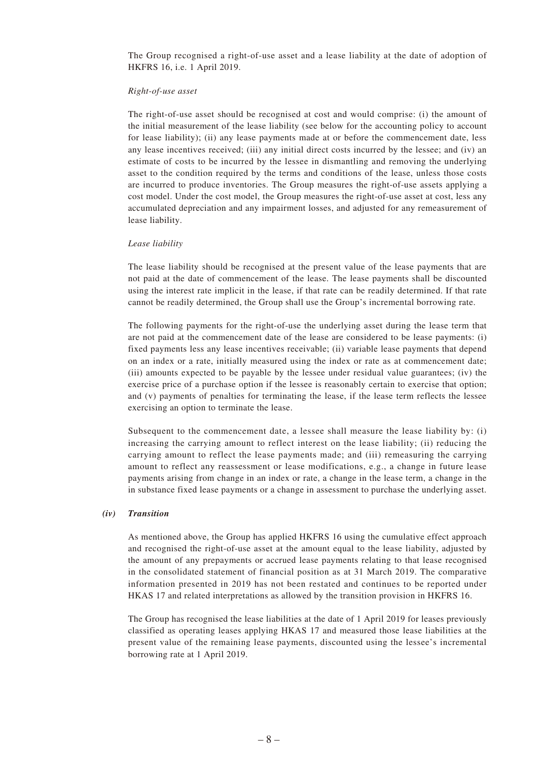The Group recognised a right-of-use asset and a lease liability at the date of adoption of HKFRS 16, i.e. 1 April 2019.

#### *Right-of-use asset*

The right-of-use asset should be recognised at cost and would comprise: (i) the amount of the initial measurement of the lease liability (see below for the accounting policy to account for lease liability); (ii) any lease payments made at or before the commencement date, less any lease incentives received; (iii) any initial direct costs incurred by the lessee; and (iv) an estimate of costs to be incurred by the lessee in dismantling and removing the underlying asset to the condition required by the terms and conditions of the lease, unless those costs are incurred to produce inventories. The Group measures the right-of-use assets applying a cost model. Under the cost model, the Group measures the right-of-use asset at cost, less any accumulated depreciation and any impairment losses, and adjusted for any remeasurement of lease liability.

#### *Lease liability*

The lease liability should be recognised at the present value of the lease payments that are not paid at the date of commencement of the lease. The lease payments shall be discounted using the interest rate implicit in the lease, if that rate can be readily determined. If that rate cannot be readily determined, the Group shall use the Group's incremental borrowing rate.

The following payments for the right-of-use the underlying asset during the lease term that are not paid at the commencement date of the lease are considered to be lease payments: (i) fixed payments less any lease incentives receivable; (ii) variable lease payments that depend on an index or a rate, initially measured using the index or rate as at commencement date; (iii) amounts expected to be payable by the lessee under residual value guarantees; (iv) the exercise price of a purchase option if the lessee is reasonably certain to exercise that option; and (v) payments of penalties for terminating the lease, if the lease term reflects the lessee exercising an option to terminate the lease.

Subsequent to the commencement date, a lessee shall measure the lease liability by: (i) increasing the carrying amount to reflect interest on the lease liability; (ii) reducing the carrying amount to reflect the lease payments made; and (iii) remeasuring the carrying amount to reflect any reassessment or lease modifications, e.g., a change in future lease payments arising from change in an index or rate, a change in the lease term, a change in the in substance fixed lease payments or a change in assessment to purchase the underlying asset.

#### *(iv) Transition*

As mentioned above, the Group has applied HKFRS 16 using the cumulative effect approach and recognised the right-of-use asset at the amount equal to the lease liability, adjusted by the amount of any prepayments or accrued lease payments relating to that lease recognised in the consolidated statement of financial position as at 31 March 2019. The comparative information presented in 2019 has not been restated and continues to be reported under HKAS 17 and related interpretations as allowed by the transition provision in HKFRS 16.

The Group has recognised the lease liabilities at the date of 1 April 2019 for leases previously classified as operating leases applying HKAS 17 and measured those lease liabilities at the present value of the remaining lease payments, discounted using the lessee's incremental borrowing rate at 1 April 2019.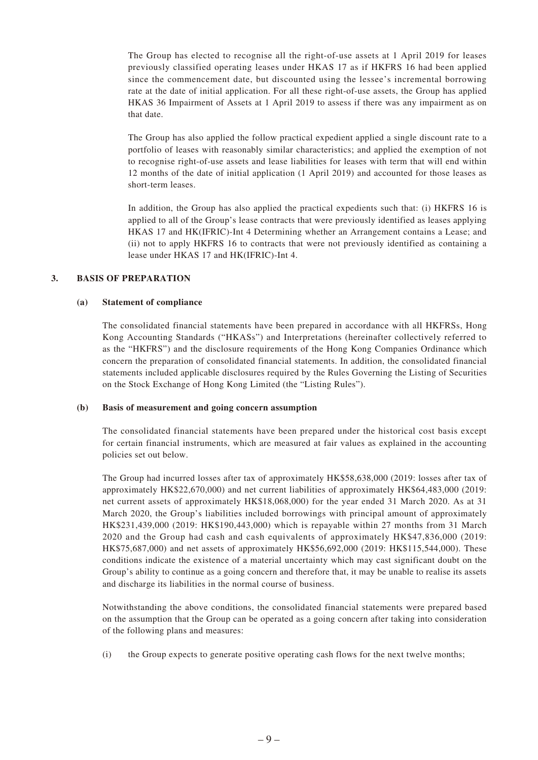The Group has elected to recognise all the right-of-use assets at 1 April 2019 for leases previously classified operating leases under HKAS 17 as if HKFRS 16 had been applied since the commencement date, but discounted using the lessee's incremental borrowing rate at the date of initial application. For all these right-of-use assets, the Group has applied HKAS 36 Impairment of Assets at 1 April 2019 to assess if there was any impairment as on that date.

The Group has also applied the follow practical expedient applied a single discount rate to a portfolio of leases with reasonably similar characteristics; and applied the exemption of not to recognise right-of-use assets and lease liabilities for leases with term that will end within 12 months of the date of initial application (1 April 2019) and accounted for those leases as short-term leases.

In addition, the Group has also applied the practical expedients such that: (i) HKFRS 16 is applied to all of the Group's lease contracts that were previously identified as leases applying HKAS 17 and HK(IFRIC)-Int 4 Determining whether an Arrangement contains a Lease; and (ii) not to apply HKFRS 16 to contracts that were not previously identified as containing a lease under HKAS 17 and HK(IFRIC)-Int 4.

#### **3. BASIS OF PREPARATION**

#### **(a) Statement of compliance**

The consolidated financial statements have been prepared in accordance with all HKFRSs, Hong Kong Accounting Standards ("HKASs") and Interpretations (hereinafter collectively referred to as the "HKFRS") and the disclosure requirements of the Hong Kong Companies Ordinance which concern the preparation of consolidated financial statements. In addition, the consolidated financial statements included applicable disclosures required by the Rules Governing the Listing of Securities on the Stock Exchange of Hong Kong Limited (the "Listing Rules").

#### **(b) Basis of measurement and going concern assumption**

The consolidated financial statements have been prepared under the historical cost basis except for certain financial instruments, which are measured at fair values as explained in the accounting policies set out below.

The Group had incurred losses after tax of approximately HK\$58,638,000 (2019: losses after tax of approximately HK\$22,670,000) and net current liabilities of approximately HK\$64,483,000 (2019: net current assets of approximately HK\$18,068,000) for the year ended 31 March 2020. As at 31 March 2020, the Group's liabilities included borrowings with principal amount of approximately HK\$231,439,000 (2019: HK\$190,443,000) which is repayable within 27 months from 31 March 2020 and the Group had cash and cash equivalents of approximately HK\$47,836,000 (2019: HK\$75,687,000) and net assets of approximately HK\$56,692,000 (2019: HK\$115,544,000). These conditions indicate the existence of a material uncertainty which may cast significant doubt on the Group's ability to continue as a going concern and therefore that, it may be unable to realise its assets and discharge its liabilities in the normal course of business.

Notwithstanding the above conditions, the consolidated financial statements were prepared based on the assumption that the Group can be operated as a going concern after taking into consideration of the following plans and measures:

(i) the Group expects to generate positive operating cash flows for the next twelve months;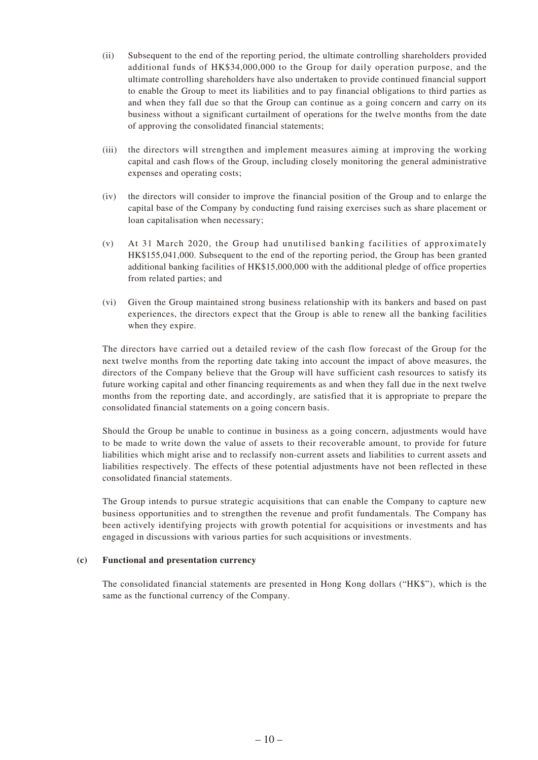- (ii) Subsequent to the end of the reporting period, the ultimate controlling shareholders provided additional funds of HK\$34,000,000 to the Group for daily operation purpose, and the ultimate controlling shareholders have also undertaken to provide continued financial support to enable the Group to meet its liabilities and to pay financial obligations to third parties as and when they fall due so that the Group can continue as a going concern and carry on its business without a significant curtailment of operations for the twelve months from the date of approving the consolidated financial statements;
- (iii) the directors will strengthen and implement measures aiming at improving the working capital and cash flows of the Group, including closely monitoring the general administrative expenses and operating costs;
- (iv) the directors will consider to improve the financial position of the Group and to enlarge the capital base of the Company by conducting fund raising exercises such as share placement or loan capitalisation when necessary;
- (v) At 31 March 2020, the Group had unutilised banking facilities of approximately HK\$155,041,000. Subsequent to the end of the reporting period, the Group has been granted additional banking facilities of HK\$15,000,000 with the additional pledge of office properties from related parties; and
- (vi) Given the Group maintained strong business relationship with its bankers and based on past experiences, the directors expect that the Group is able to renew all the banking facilities when they expire.

The directors have carried out a detailed review of the cash flow forecast of the Group for the next twelve months from the reporting date taking into account the impact of above measures, the directors of the Company believe that the Group will have sufficient cash resources to satisfy its future working capital and other financing requirements as and when they fall due in the next twelve months from the reporting date, and accordingly, are satisfied that it is appropriate to prepare the consolidated financial statements on a going concern basis.

Should the Group be unable to continue in business as a going concern, adjustments would have to be made to write down the value of assets to their recoverable amount, to provide for future liabilities which might arise and to reclassify non-current assets and liabilities to current assets and liabilities respectively. The effects of these potential adjustments have not been reflected in these consolidated financial statements.

The Group intends to pursue strategic acquisitions that can enable the Company to capture new business opportunities and to strengthen the revenue and profit fundamentals. The Company has been actively identifying projects with growth potential for acquisitions or investments and has engaged in discussions with various parties for such acquisitions or investments.

#### **(c) Functional and presentation currency**

The consolidated financial statements are presented in Hong Kong dollars ("HK\$"), which is the same as the functional currency of the Company.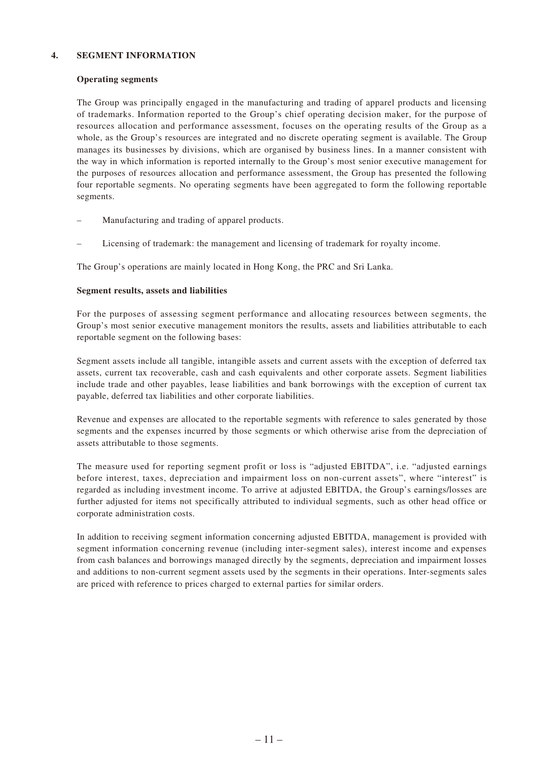#### **4. SEGMENT INFORMATION**

#### **Operating segments**

The Group was principally engaged in the manufacturing and trading of apparel products and licensing of trademarks. Information reported to the Group's chief operating decision maker, for the purpose of resources allocation and performance assessment, focuses on the operating results of the Group as a whole, as the Group's resources are integrated and no discrete operating segment is available. The Group manages its businesses by divisions, which are organised by business lines. In a manner consistent with the way in which information is reported internally to the Group's most senior executive management for the purposes of resources allocation and performance assessment, the Group has presented the following four reportable segments. No operating segments have been aggregated to form the following reportable segments.

- Manufacturing and trading of apparel products.
- Licensing of trademark: the management and licensing of trademark for royalty income.

The Group's operations are mainly located in Hong Kong, the PRC and Sri Lanka.

#### **Segment results, assets and liabilities**

For the purposes of assessing segment performance and allocating resources between segments, the Group's most senior executive management monitors the results, assets and liabilities attributable to each reportable segment on the following bases:

Segment assets include all tangible, intangible assets and current assets with the exception of deferred tax assets, current tax recoverable, cash and cash equivalents and other corporate assets. Segment liabilities include trade and other payables, lease liabilities and bank borrowings with the exception of current tax payable, deferred tax liabilities and other corporate liabilities.

Revenue and expenses are allocated to the reportable segments with reference to sales generated by those segments and the expenses incurred by those segments or which otherwise arise from the depreciation of assets attributable to those segments.

The measure used for reporting segment profit or loss is "adjusted EBITDA", i.e. "adjusted earnings before interest, taxes, depreciation and impairment loss on non-current assets", where "interest" is regarded as including investment income. To arrive at adjusted EBITDA, the Group's earnings/losses are further adjusted for items not specifically attributed to individual segments, such as other head office or corporate administration costs.

In addition to receiving segment information concerning adjusted EBITDA, management is provided with segment information concerning revenue (including inter-segment sales), interest income and expenses from cash balances and borrowings managed directly by the segments, depreciation and impairment losses and additions to non-current segment assets used by the segments in their operations. Inter-segments sales are priced with reference to prices charged to external parties for similar orders.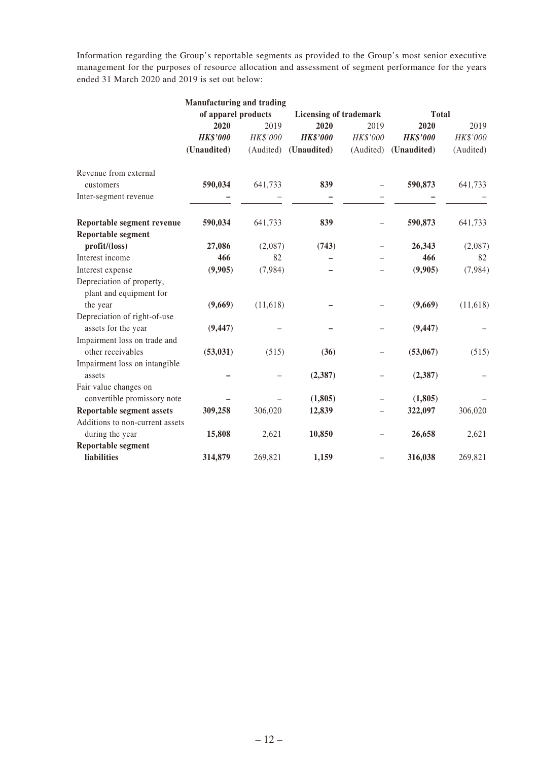Information regarding the Group's reportable segments as provided to the Group's most senior executive management for the purposes of resource allocation and assessment of segment performance for the years ended 31 March 2020 and 2019 is set out below:

|                                  | <b>Manufacturing and trading</b> |           |                 |                                               |                 |           |
|----------------------------------|----------------------------------|-----------|-----------------|-----------------------------------------------|-----------------|-----------|
|                                  | of apparel products              |           |                 | <b>Licensing of trademark</b><br><b>Total</b> |                 |           |
|                                  | 2020                             | 2019      | 2020            | 2019                                          | 2020            | 2019      |
|                                  | <b>HK\$'000</b>                  | HK\$'000  | <b>HK\$'000</b> | HK\$'000                                      | <b>HK\$'000</b> | HK\$'000  |
|                                  | (Unaudited)                      | (Audited) | (Unaudited)     | (Audited)                                     | (Unaudited)     | (Audited) |
| Revenue from external            |                                  |           |                 |                                               |                 |           |
| customers                        | 590,034                          | 641,733   | 839             |                                               | 590,873         | 641,733   |
| Inter-segment revenue            |                                  |           |                 |                                               |                 |           |
| Reportable segment revenue       | 590,034                          | 641,733   | 839             | $\qquad \qquad -$                             | 590,873         | 641,733   |
| <b>Reportable segment</b>        |                                  |           |                 |                                               |                 |           |
| profit/(loss)                    | 27,086                           | (2,087)   | (743)           |                                               | 26,343          | (2,087)   |
| Interest income                  | 466                              | 82        |                 |                                               | 466             | 82        |
| Interest expense                 | (9,905)                          | (7,984)   |                 |                                               | (9,905)         | (7,984)   |
| Depreciation of property,        |                                  |           |                 |                                               |                 |           |
| plant and equipment for          |                                  |           |                 |                                               |                 |           |
| the year                         | (9,669)                          | (11, 618) |                 |                                               | (9,669)         | (11, 618) |
| Depreciation of right-of-use     |                                  |           |                 |                                               |                 |           |
| assets for the year              | (9, 447)                         |           |                 |                                               | (9, 447)        |           |
| Impairment loss on trade and     |                                  |           |                 |                                               |                 |           |
| other receivables                | (53, 031)                        | (515)     | (36)            | $\overline{\phantom{0}}$                      | (53,067)        | (515)     |
| Impairment loss on intangible    |                                  |           |                 |                                               |                 |           |
| assets                           |                                  |           | (2,387)         |                                               | (2,387)         |           |
| Fair value changes on            |                                  |           |                 |                                               |                 |           |
| convertible promissory note      |                                  |           | (1, 805)        |                                               | (1, 805)        |           |
| <b>Reportable segment assets</b> | 309,258                          | 306,020   | 12,839          |                                               | 322,097         | 306,020   |
| Additions to non-current assets  |                                  |           |                 |                                               |                 |           |
| during the year                  | 15,808                           | 2,621     | 10,850          |                                               | 26,658          | 2,621     |
| <b>Reportable segment</b>        |                                  |           |                 |                                               |                 |           |
| liabilities                      | 314,879                          | 269,821   | 1,159           |                                               | 316,038         | 269,821   |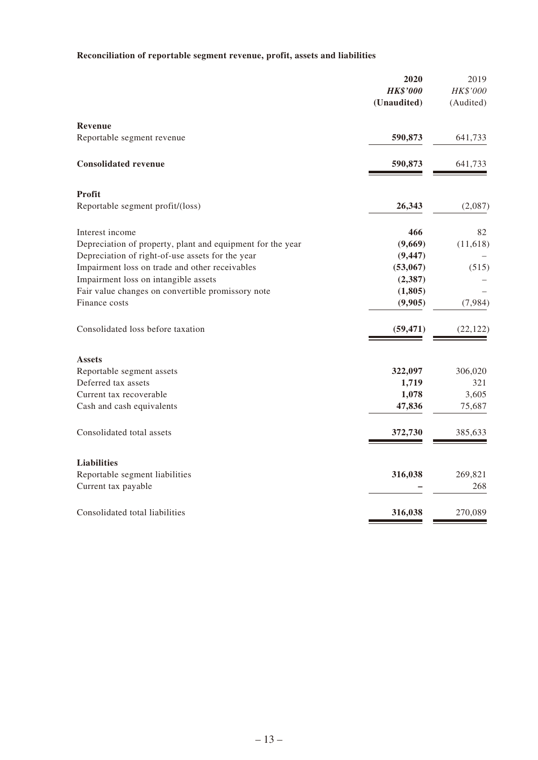# **Reconciliation of reportable segment revenue, profit, assets and liabilities**

|                                                            | 2020<br><b>HK\$'000</b><br>(Unaudited) | 2019<br>HK\$'000<br>(Audited) |
|------------------------------------------------------------|----------------------------------------|-------------------------------|
| Revenue                                                    |                                        |                               |
| Reportable segment revenue                                 | 590,873                                | 641,733                       |
| <b>Consolidated revenue</b>                                | 590,873                                | 641,733                       |
| Profit                                                     |                                        |                               |
| Reportable segment profit/(loss)                           | 26,343                                 | (2,087)                       |
| Interest income                                            | 466                                    | 82                            |
| Depreciation of property, plant and equipment for the year | (9,669)                                | (11, 618)                     |
| Depreciation of right-of-use assets for the year           | (9, 447)                               |                               |
| Impairment loss on trade and other receivables             | (53,067)                               | (515)                         |
| Impairment loss on intangible assets                       | (2,387)                                |                               |
| Fair value changes on convertible promissory note          | (1, 805)                               |                               |
| Finance costs                                              | (9,905)                                | (7,984)                       |
| Consolidated loss before taxation                          | (59, 471)                              | (22, 122)                     |
| <b>Assets</b>                                              |                                        |                               |
| Reportable segment assets                                  | 322,097                                | 306,020                       |
| Deferred tax assets                                        | 1,719                                  | 321                           |
| Current tax recoverable                                    | 1,078                                  | 3,605                         |
| Cash and cash equivalents                                  | 47,836                                 | 75,687                        |
| Consolidated total assets                                  | 372,730                                | 385,633                       |
| <b>Liabilities</b>                                         |                                        |                               |
| Reportable segment liabilities                             | 316,038                                | 269,821                       |
| Current tax payable                                        |                                        | 268                           |
| Consolidated total liabilities                             | 316,038                                | 270,089                       |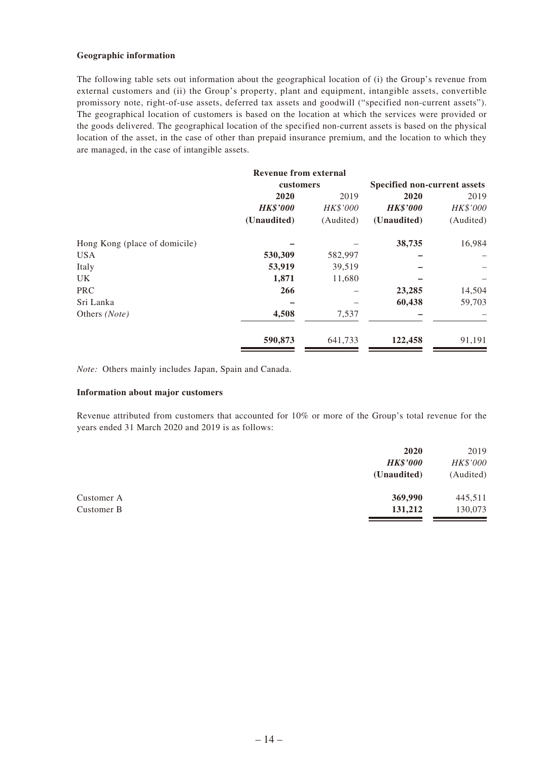#### **Geographic information**

The following table sets out information about the geographical location of (i) the Group's revenue from external customers and (ii) the Group's property, plant and equipment, intangible assets, convertible promissory note, right-of-use assets, deferred tax assets and goodwill ("specified non-current assets"). The geographical location of customers is based on the location at which the services were provided or the goods delivered. The geographical location of the specified non-current assets is based on the physical location of the asset, in the case of other than prepaid insurance premium, and the location to which they are managed, in the case of intangible assets.

|                               | <b>Revenue from external</b> |           |                              |           |
|-------------------------------|------------------------------|-----------|------------------------------|-----------|
|                               | customers                    |           | Specified non-current assets |           |
|                               | 2020                         | 2019      | 2020                         | 2019      |
|                               | <b>HK\$'000</b>              | HK\$'000  | <b>HK\$'000</b>              | HK\$'000  |
|                               | (Unaudited)                  | (Audited) | (Unaudited)                  | (Audited) |
| Hong Kong (place of domicile) |                              |           | 38,735                       | 16,984    |
| <b>USA</b>                    | 530,309                      | 582,997   |                              |           |
| Italy                         | 53,919                       | 39,519    |                              |           |
| UK                            | 1,871                        | 11,680    |                              |           |
| <b>PRC</b>                    | 266                          |           | 23,285                       | 14,504    |
| Sri Lanka                     |                              |           | 60,438                       | 59,703    |
| Others (Note)                 | 4,508                        | 7,537     |                              |           |
|                               | 590,873                      | 641,733   | 122,458                      | 91,191    |

*Note:* Others mainly includes Japan, Spain and Canada.

#### **Information about major customers**

Revenue attributed from customers that accounted for 10% or more of the Group's total revenue for the years ended 31 March 2020 and 2019 is as follows:

|            | 2020            | 2019      |
|------------|-----------------|-----------|
|            | <b>HK\$'000</b> | HK\$'000  |
|            | (Unaudited)     | (Audited) |
| Customer A | 369,990         | 445,511   |
| Customer B | 131,212         | 130,073   |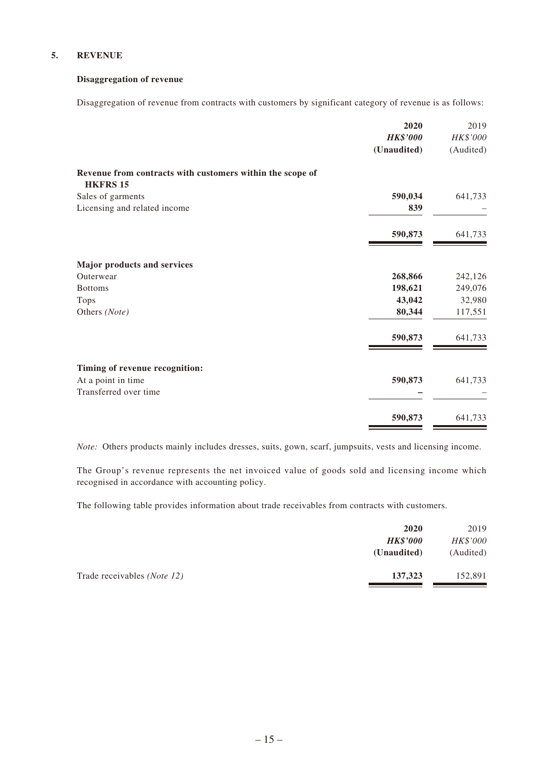#### **5. REVENUE**

#### **Disaggregation of revenue**

Disaggregation of revenue from contracts with customers by significant category of revenue is as follows:

|                                                                              | 2020            | 2019      |
|------------------------------------------------------------------------------|-----------------|-----------|
|                                                                              | <b>HK\$'000</b> | HK\$'000  |
|                                                                              | (Unaudited)     | (Audited) |
| Revenue from contracts with customers within the scope of<br><b>HKFRS 15</b> |                 |           |
| Sales of garments                                                            | 590,034         | 641,733   |
| Licensing and related income                                                 | 839             |           |
|                                                                              | 590,873         | 641,733   |
| Major products and services                                                  |                 |           |
| Outerwear                                                                    | 268,866         | 242,126   |
| <b>Bottoms</b>                                                               | 198,621         | 249,076   |
| Tops                                                                         | 43,042          | 32,980    |
| Others (Note)                                                                | 80,344          | 117,551   |
|                                                                              | 590,873         | 641,733   |
| Timing of revenue recognition:                                               |                 |           |
| At a point in time                                                           | 590,873         | 641,733   |
| Transferred over time                                                        |                 |           |
|                                                                              | 590,873         | 641,733   |

*Note:* Others products mainly includes dresses, suits, gown, scarf, jumpsuits, vests and licensing income.

The Group's revenue represents the net invoiced value of goods sold and licensing income which recognised in accordance with accounting policy.

The following table provides information about trade receivables from contracts with customers.

|                                      | 2020            | 2019      |
|--------------------------------------|-----------------|-----------|
|                                      | <b>HK\$'000</b> | HK\$'000  |
| (Unaudited)                          |                 | (Audited) |
| Trade receivables ( <i>Note 12</i> ) | 137,323         | 152,891   |
|                                      |                 |           |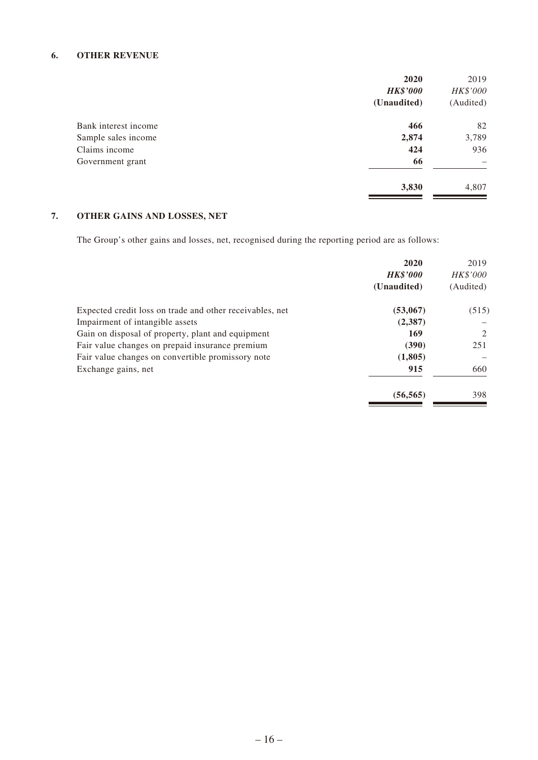### **6. OTHER REVENUE**

|                      | 2020            | 2019      |
|----------------------|-----------------|-----------|
|                      | <b>HK\$'000</b> | HK\$'000  |
|                      | (Unaudited)     | (Audited) |
| Bank interest income | 466             | 82        |
| Sample sales income  | 2,874           | 3,789     |
| Claims income        | 424             | 936       |
| Government grant     | 66              |           |
|                      | 3,830           | 4,807     |

# **7. OTHER GAINS AND LOSSES, NET**

The Group's other gains and losses, net, recognised during the reporting period are as follows:

| 2020<br><b>HK\$'000</b><br>(Unaudited) | 2019<br><b>HK\$'000</b><br>(Audited) |
|----------------------------------------|--------------------------------------|
| (53,067)                               | (515)                                |
| (2,387)                                |                                      |
| 169                                    | 2                                    |
| (390)                                  | 251                                  |
| (1,805)                                |                                      |
| 915                                    | 660                                  |
| (56, 565)                              | 398                                  |
|                                        |                                      |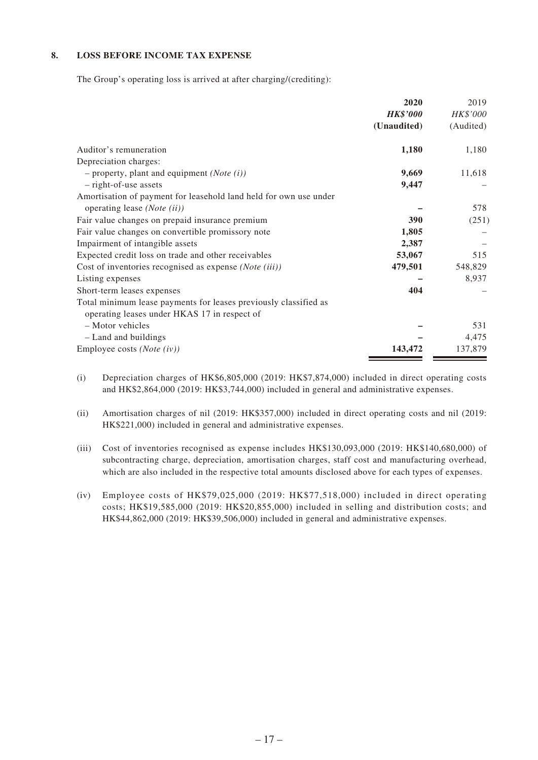#### **8. LOSS BEFORE INCOME TAX EXPENSE**

The Group's operating loss is arrived at after charging/(crediting):

|                                                                   | 2020            | 2019      |
|-------------------------------------------------------------------|-----------------|-----------|
|                                                                   | <b>HK\$'000</b> | HK\$'000  |
|                                                                   | (Unaudited)     | (Audited) |
| Auditor's remuneration                                            | 1,180           | 1,180     |
| Depreciation charges:                                             |                 |           |
| $-$ property, plant and equipment ( <i>Note</i> (i))              | 9,669           | 11,618    |
| - right-of-use assets                                             | 9,447           |           |
| Amortisation of payment for leasehold land held for own use under |                 |           |
| operating lease (Note (ii))                                       |                 | 578       |
| Fair value changes on prepaid insurance premium                   | 390             | (251)     |
| Fair value changes on convertible promissory note                 | 1,805           |           |
| Impairment of intangible assets                                   | 2,387           |           |
| Expected credit loss on trade and other receivables               | 53,067          | 515       |
| Cost of inventories recognised as expense (Note (iii))            | 479,501         | 548,829   |
| Listing expenses                                                  |                 | 8,937     |
| Short-term leases expenses                                        | 404             |           |
| Total minimum lease payments for leases previously classified as  |                 |           |
| operating leases under HKAS 17 in respect of                      |                 |           |
| - Motor vehicles                                                  |                 | 531       |
| - Land and buildings                                              |                 | 4,475     |
| Employee costs ( <i>Note</i> $(iv)$ )                             | 143,472         | 137,879   |

(i) Depreciation charges of HK\$6,805,000 (2019: HK\$7,874,000) included in direct operating costs and HK\$2,864,000 (2019: HK\$3,744,000) included in general and administrative expenses.

(ii) Amortisation charges of nil (2019: HK\$357,000) included in direct operating costs and nil (2019: HK\$221,000) included in general and administrative expenses.

- (iii) Cost of inventories recognised as expense includes HK\$130,093,000 (2019: HK\$140,680,000) of subcontracting charge, depreciation, amortisation charges, staff cost and manufacturing overhead, which are also included in the respective total amounts disclosed above for each types of expenses.
- (iv) Employee costs of HK\$79,025,000 (2019: HK\$77,518,000) included in direct operating costs; HK\$19,585,000 (2019: HK\$20,855,000) included in selling and distribution costs; and HK\$44,862,000 (2019: HK\$39,506,000) included in general and administrative expenses.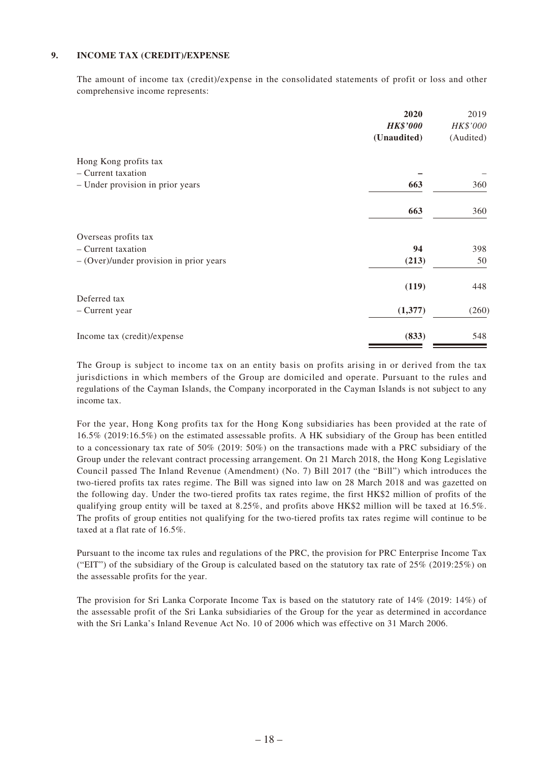#### **9. INCOME TAX (CREDIT)/EXPENSE**

The amount of income tax (credit)/expense in the consolidated statements of profit or loss and other comprehensive income represents:

|                                           | 2020            | 2019      |
|-------------------------------------------|-----------------|-----------|
|                                           | <b>HK\$'000</b> | HK\$'000  |
|                                           | (Unaudited)     | (Audited) |
| Hong Kong profits tax                     |                 |           |
| - Current taxation                        |                 |           |
| - Under provision in prior years          | 663             | 360       |
|                                           | 663             | 360       |
| Overseas profits tax                      |                 |           |
| - Current taxation                        | 94              | 398       |
| $-$ (Over)/under provision in prior years | (213)           | 50        |
|                                           | (119)           | 448       |
| Deferred tax                              |                 |           |
| - Current year                            | (1,377)         | (260)     |
| Income tax (credit)/expense               | (833)           | 548       |

The Group is subject to income tax on an entity basis on profits arising in or derived from the tax jurisdictions in which members of the Group are domiciled and operate. Pursuant to the rules and regulations of the Cayman Islands, the Company incorporated in the Cayman Islands is not subject to any income tax.

For the year, Hong Kong profits tax for the Hong Kong subsidiaries has been provided at the rate of 16.5% (2019:16.5%) on the estimated assessable profits. A HK subsidiary of the Group has been entitled to a concessionary tax rate of 50% (2019: 50%) on the transactions made with a PRC subsidiary of the Group under the relevant contract processing arrangement. On 21 March 2018, the Hong Kong Legislative Council passed The Inland Revenue (Amendment) (No. 7) Bill 2017 (the "Bill") which introduces the two-tiered profits tax rates regime. The Bill was signed into law on 28 March 2018 and was gazetted on the following day. Under the two-tiered profits tax rates regime, the first HK\$2 million of profits of the qualifying group entity will be taxed at 8.25%, and profits above HK\$2 million will be taxed at 16.5%. The profits of group entities not qualifying for the two-tiered profits tax rates regime will continue to be taxed at a flat rate of 16.5%.

Pursuant to the income tax rules and regulations of the PRC, the provision for PRC Enterprise Income Tax ("EIT") of the subsidiary of the Group is calculated based on the statutory tax rate of  $25\%$  (2019:25%) on the assessable profits for the year.

The provision for Sri Lanka Corporate Income Tax is based on the statutory rate of 14% (2019: 14%) of the assessable profit of the Sri Lanka subsidiaries of the Group for the year as determined in accordance with the Sri Lanka's Inland Revenue Act No. 10 of 2006 which was effective on 31 March 2006.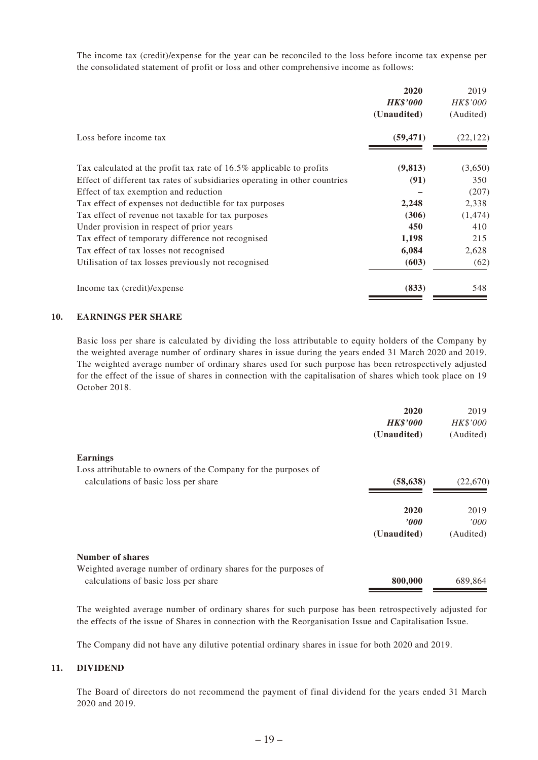The income tax (credit)/expense for the year can be reconciled to the loss before income tax expense per the consolidated statement of profit or loss and other comprehensive income as follows:

|                                                                            | 2020            | 2019      |
|----------------------------------------------------------------------------|-----------------|-----------|
|                                                                            | <b>HK\$'000</b> | HK\$'000  |
|                                                                            | (Unaudited)     | (Audited) |
| Loss before income tax                                                     | (59, 471)       | (22, 122) |
| Tax calculated at the profit tax rate of 16.5% applicable to profits       | (9, 813)        | (3,650)   |
| Effect of different tax rates of subsidiaries operating in other countries | (91)            | 350       |
| Effect of tax exemption and reduction                                      |                 | (207)     |
| Tax effect of expenses not deductible for tax purposes                     | 2,248           | 2,338     |
| Tax effect of revenue not taxable for tax purposes                         | (306)           | (1, 474)  |
| Under provision in respect of prior years                                  | 450             | 410       |
| Tax effect of temporary difference not recognised                          | 1,198           | 215       |
| Tax effect of tax losses not recognised                                    | 6,084           | 2,628     |
| Utilisation of tax losses previously not recognised                        | (603)           | (62)      |
| Income tax (credit)/expense                                                | (833)           | 548       |

#### **10. EARNINGS PER SHARE**

Basic loss per share is calculated by dividing the loss attributable to equity holders of the Company by the weighted average number of ordinary shares in issue during the years ended 31 March 2020 and 2019. The weighted average number of ordinary shares used for such purpose has been retrospectively adjusted for the effect of the issue of shares in connection with the capitalisation of shares which took place on 19 October 2018.

|                                                                | 2020            | 2019      |
|----------------------------------------------------------------|-----------------|-----------|
|                                                                | <b>HK\$'000</b> | HK\$'000  |
|                                                                | (Unaudited)     | (Audited) |
| <b>Earnings</b>                                                |                 |           |
| Loss attributable to owners of the Company for the purposes of |                 |           |
| calculations of basic loss per share                           | (58, 638)       | (22,670)  |
|                                                                | 2020            | 2019      |
|                                                                | 2000            | 000'      |
|                                                                | (Unaudited)     | (Audited) |
| Number of shares                                               |                 |           |
| Weighted average number of ordinary shares for the purposes of |                 |           |
| calculations of basic loss per share                           | 800,000         | 689,864   |

The weighted average number of ordinary shares for such purpose has been retrospectively adjusted for the effects of the issue of Shares in connection with the Reorganisation Issue and Capitalisation Issue.

The Company did not have any dilutive potential ordinary shares in issue for both 2020 and 2019.

#### **11. DIVIDEND**

The Board of directors do not recommend the payment of final dividend for the years ended 31 March 2020 and 2019.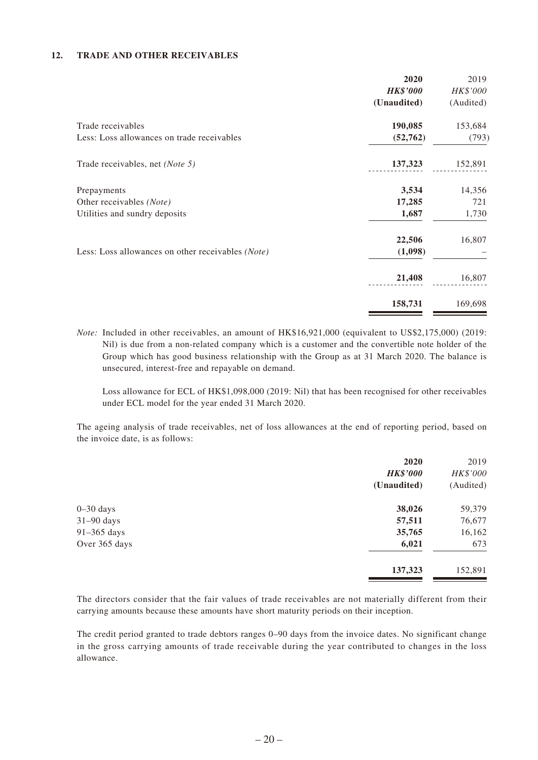#### **12. TRADE AND OTHER RECEIVABLES**

|                                                   | 2020            | 2019      |
|---------------------------------------------------|-----------------|-----------|
|                                                   | <b>HK\$'000</b> | HK\$'000  |
|                                                   | (Unaudited)     | (Audited) |
| Trade receivables                                 | 190,085         | 153,684   |
| Less: Loss allowances on trade receivables        | (52, 762)       | (793)     |
| Trade receivables, net (Note 5)                   | 137,323         | 152,891   |
| Prepayments                                       | 3,534           | 14,356    |
| Other receivables (Note)                          | 17,285          | 721       |
| Utilities and sundry deposits                     | 1,687           | 1,730     |
|                                                   | 22,506          | 16,807    |
| Less: Loss allowances on other receivables (Note) | (1,098)         |           |
|                                                   | 21,408          | 16,807    |
|                                                   | 158,731         | 169,698   |

*Note:* Included in other receivables, an amount of HK\$16,921,000 (equivalent to US\$2,175,000) (2019: Nil) is due from a non-related company which is a customer and the convertible note holder of the Group which has good business relationship with the Group as at 31 March 2020. The balance is unsecured, interest-free and repayable on demand.

Loss allowance for ECL of HK\$1,098,000 (2019: Nil) that has been recognised for other receivables under ECL model for the year ended 31 March 2020.

The ageing analysis of trade receivables, net of loss allowances at the end of reporting period, based on the invoice date, is as follows:

|               | 2020            | 2019      |
|---------------|-----------------|-----------|
|               | <b>HK\$'000</b> | HK\$'000  |
|               | (Unaudited)     | (Audited) |
| $0-30$ days   | 38,026          | 59,379    |
| $31-90$ days  | 57,511          | 76,677    |
| $91-365$ days | 35,765          | 16,162    |
| Over 365 days | 6,021           | 673       |
|               | 137,323         | 152,891   |

The directors consider that the fair values of trade receivables are not materially different from their carrying amounts because these amounts have short maturity periods on their inception.

The credit period granted to trade debtors ranges 0–90 days from the invoice dates. No significant change in the gross carrying amounts of trade receivable during the year contributed to changes in the loss allowance.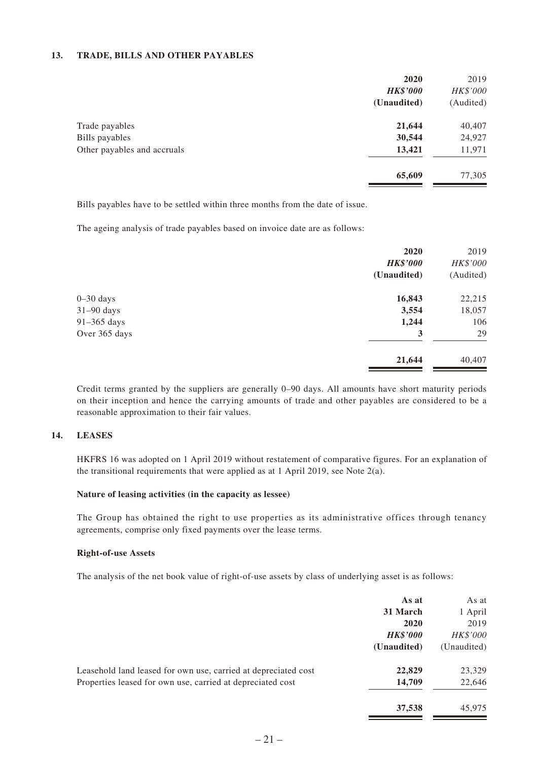#### **13. TRADE, BILLS AND OTHER PAYABLES**

|                             | 2020            | 2019      |
|-----------------------------|-----------------|-----------|
|                             | <b>HK\$'000</b> | HK\$'000  |
|                             | (Unaudited)     | (Audited) |
| Trade payables              | 21,644          | 40,407    |
| Bills payables              | 30,544          | 24,927    |
| Other payables and accruals | 13,421          | 11,971    |
|                             | 65,609          | 77,305    |
|                             |                 |           |

Bills payables have to be settled within three months from the date of issue.

The ageing analysis of trade payables based on invoice date are as follows:

|               | 2020            | 2019      |
|---------------|-----------------|-----------|
|               | <b>HK\$'000</b> | HK\$'000  |
|               | (Unaudited)     | (Audited) |
| $0 - 30$ days | 16,843          | 22,215    |
| $31-90$ days  | 3,554           | 18,057    |
| 91-365 days   | 1,244           | 106       |
| Over 365 days | 3               | 29        |
|               | 21,644          | 40,407    |
|               |                 |           |

Credit terms granted by the suppliers are generally 0–90 days. All amounts have short maturity periods on their inception and hence the carrying amounts of trade and other payables are considered to be a reasonable approximation to their fair values.

#### **14. LEASES**

HKFRS 16 was adopted on 1 April 2019 without restatement of comparative figures. For an explanation of the transitional requirements that were applied as at 1 April 2019, see Note  $2(a)$ .

#### **Nature of leasing activities (in the capacity as lessee)**

The Group has obtained the right to use properties as its administrative offices through tenancy agreements, comprise only fixed payments over the lease terms.

#### **Right-of-use Assets**

The analysis of the net book value of right-of-use assets by class of underlying asset is as follows:

|                                                                | As at           | As at       |
|----------------------------------------------------------------|-----------------|-------------|
|                                                                | 31 March        | 1 April     |
|                                                                | 2020            | 2019        |
|                                                                | <b>HK\$'000</b> | HK\$'000    |
|                                                                | (Unaudited)     | (Unaudited) |
| Leasehold land leased for own use, carried at depreciated cost | 22,829          | 23,329      |
| Properties leased for own use, carried at depreciated cost     | 14,709          | 22,646      |
|                                                                | 37,538          | 45,975      |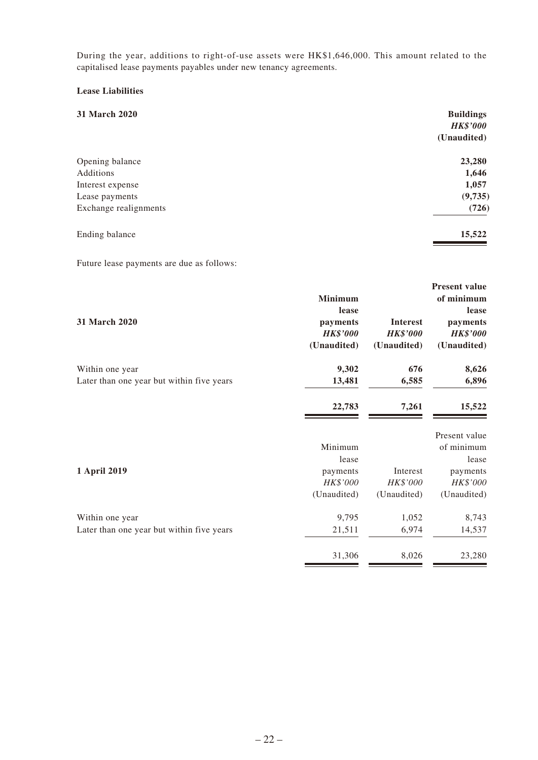During the year, additions to right-of-use assets were HK\$1,646,000. This amount related to the capitalised lease payments payables under new tenancy agreements.

### **Lease Liabilities**

| 31 March 2020         | <b>Buildings</b><br><b>HK\$'000</b><br>(Unaudited) |
|-----------------------|----------------------------------------------------|
|                       |                                                    |
| Opening balance       | 23,280                                             |
| Additions             | 1,646                                              |
| Interest expense      | 1,057                                              |
| Lease payments        | (9, 735)                                           |
| Exchange realignments | (726)                                              |
| Ending balance        | 15,522                                             |

Future lease payments are due as follows:

|                      | <b>Minimum</b>  |                                           |
|----------------------|-----------------|-------------------------------------------|
|                      | lease           |                                           |
| <b>Interest</b>      |                 | 31 March 2020                             |
|                      |                 |                                           |
| (Unaudited)          | (Unaudited)     |                                           |
| 676                  | 9,302           | Within one year                           |
| 6,585                | 13,481          | Later than one year but within five years |
| 7,261                | 22,783          |                                           |
|                      |                 |                                           |
|                      | Minimum         |                                           |
|                      | lease           |                                           |
| Interest             | payments        | 1 April 2019                              |
| HK\$'000             | HK\$'000        |                                           |
| (Unaudited)          | (Unaudited)     |                                           |
| 1,052                | 9,795           | Within one year                           |
| 6,974                | 21,511          | Later than one year but within five years |
| 8,026                | 31,306          |                                           |
| <b>Present value</b> | <b>HK\$'000</b> | payments<br><b>HK\$'000</b>               |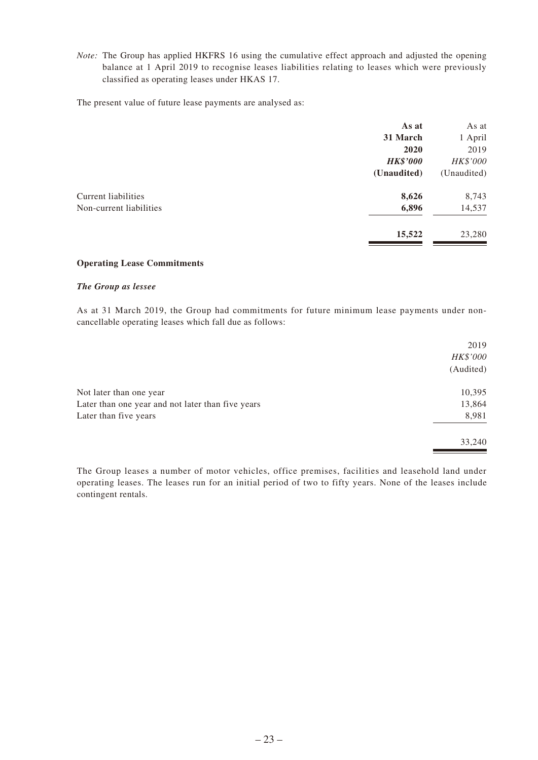*Note:* The Group has applied HKFRS 16 using the cumulative effect approach and adjusted the opening balance at 1 April 2019 to recognise leases liabilities relating to leases which were previously classified as operating leases under HKAS 17.

The present value of future lease payments are analysed as:

|                            | As at           | As at       |
|----------------------------|-----------------|-------------|
|                            | 31 March        | 1 April     |
|                            | 2020            | 2019        |
|                            | <b>HK\$'000</b> | HK\$'000    |
|                            | (Unaudited)     | (Unaudited) |
| <b>Current liabilities</b> | 8,626           | 8,743       |
| Non-current liabilities    | 6,896           | 14,537      |
|                            | 15,522          | 23,280      |
|                            |                 |             |

#### **Operating Lease Commitments**

#### *The Group as lessee*

As at 31 March 2019, the Group had commitments for future minimum lease payments under noncancellable operating leases which fall due as follows:

|                                                   | 2019      |
|---------------------------------------------------|-----------|
|                                                   | HK\$'000  |
|                                                   | (Audited) |
| Not later than one year                           | 10,395    |
| Later than one year and not later than five years | 13,864    |
| Later than five years                             | 8,981     |
|                                                   | 33,240    |

The Group leases a number of motor vehicles, office premises, facilities and leasehold land under operating leases. The leases run for an initial period of two to fifty years. None of the leases include contingent rentals.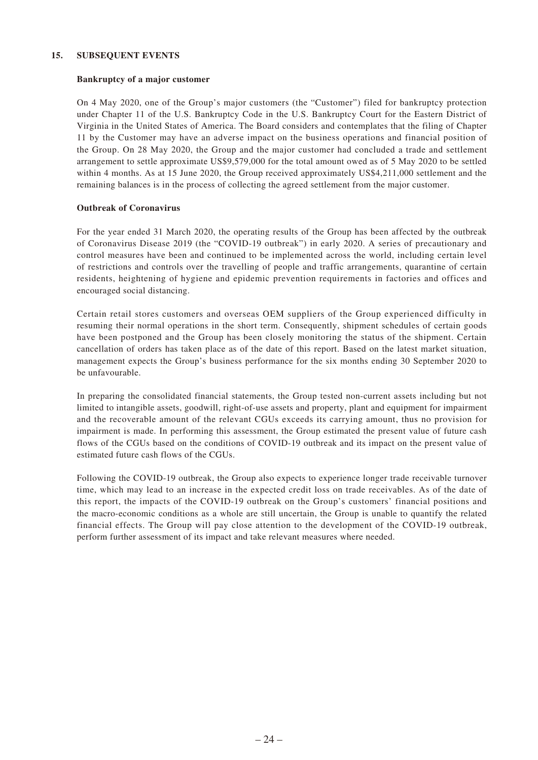#### **15. SUBSEQUENT EVENTS**

#### **Bankruptcy of a major customer**

On 4 May 2020, one of the Group's major customers (the "Customer") filed for bankruptcy protection under Chapter 11 of the U.S. Bankruptcy Code in the U.S. Bankruptcy Court for the Eastern District of Virginia in the United States of America. The Board considers and contemplates that the filing of Chapter 11 by the Customer may have an adverse impact on the business operations and financial position of the Group. On 28 May 2020, the Group and the major customer had concluded a trade and settlement arrangement to settle approximate US\$9,579,000 for the total amount owed as of 5 May 2020 to be settled within 4 months. As at 15 June 2020, the Group received approximately US\$4,211,000 settlement and the remaining balances is in the process of collecting the agreed settlement from the major customer.

#### **Outbreak of Coronavirus**

For the year ended 31 March 2020, the operating results of the Group has been affected by the outbreak of Coronavirus Disease 2019 (the "COVID-19 outbreak") in early 2020. A series of precautionary and control measures have been and continued to be implemented across the world, including certain level of restrictions and controls over the travelling of people and traffic arrangements, quarantine of certain residents, heightening of hygiene and epidemic prevention requirements in factories and offices and encouraged social distancing.

Certain retail stores customers and overseas OEM suppliers of the Group experienced difficulty in resuming their normal operations in the short term. Consequently, shipment schedules of certain goods have been postponed and the Group has been closely monitoring the status of the shipment. Certain cancellation of orders has taken place as of the date of this report. Based on the latest market situation, management expects the Group's business performance for the six months ending 30 September 2020 to be unfavourable.

In preparing the consolidated financial statements, the Group tested non-current assets including but not limited to intangible assets, goodwill, right-of-use assets and property, plant and equipment for impairment and the recoverable amount of the relevant CGUs exceeds its carrying amount, thus no provision for impairment is made. In performing this assessment, the Group estimated the present value of future cash flows of the CGUs based on the conditions of COVID-19 outbreak and its impact on the present value of estimated future cash flows of the CGUs.

Following the COVID-19 outbreak, the Group also expects to experience longer trade receivable turnover time, which may lead to an increase in the expected credit loss on trade receivables. As of the date of this report, the impacts of the COVID-19 outbreak on the Group's customers' financial positions and the macro-economic conditions as a whole are still uncertain, the Group is unable to quantify the related financial effects. The Group will pay close attention to the development of the COVID-19 outbreak, perform further assessment of its impact and take relevant measures where needed.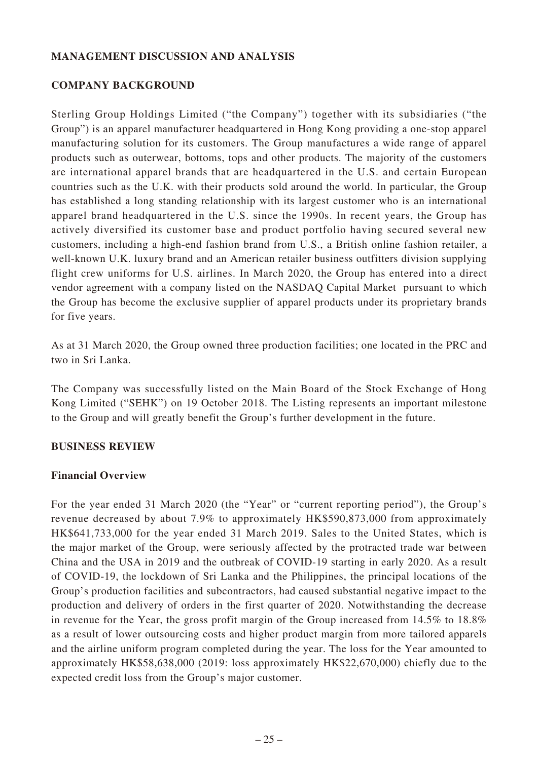## **MANAGEMENT DISCUSSION AND ANALYSIS**

### **COMPANY BACKGROUND**

Sterling Group Holdings Limited ("the Company") together with its subsidiaries ("the Group") is an apparel manufacturer headquartered in Hong Kong providing a one-stop apparel manufacturing solution for its customers. The Group manufactures a wide range of apparel products such as outerwear, bottoms, tops and other products. The majority of the customers are international apparel brands that are headquartered in the U.S. and certain European countries such as the U.K. with their products sold around the world. In particular, the Group has established a long standing relationship with its largest customer who is an international apparel brand headquartered in the U.S. since the 1990s. In recent years, the Group has actively diversified its customer base and product portfolio having secured several new customers, including a high-end fashion brand from U.S., a British online fashion retailer, a well-known U.K. luxury brand and an American retailer business outfitters division supplying flight crew uniforms for U.S. airlines. In March 2020, the Group has entered into a direct vendor agreement with a company listed on the NASDAQ Capital Market pursuant to which the Group has become the exclusive supplier of apparel products under its proprietary brands for five years.

As at 31 March 2020, the Group owned three production facilities; one located in the PRC and two in Sri Lanka.

The Company was successfully listed on the Main Board of the Stock Exchange of Hong Kong Limited ("SEHK") on 19 October 2018. The Listing represents an important milestone to the Group and will greatly benefit the Group's further development in the future.

### **BUSINESS REVIEW**

### **Financial Overview**

For the year ended 31 March 2020 (the "Year" or "current reporting period"), the Group's revenue decreased by about 7.9% to approximately HK\$590,873,000 from approximately HK\$641,733,000 for the year ended 31 March 2019. Sales to the United States, which is the major market of the Group, were seriously affected by the protracted trade war between China and the USA in 2019 and the outbreak of COVID-19 starting in early 2020. As a result of COVID-19, the lockdown of Sri Lanka and the Philippines, the principal locations of the Group's production facilities and subcontractors, had caused substantial negative impact to the production and delivery of orders in the first quarter of 2020. Notwithstanding the decrease in revenue for the Year, the gross profit margin of the Group increased from 14.5% to 18.8% as a result of lower outsourcing costs and higher product margin from more tailored apparels and the airline uniform program completed during the year. The loss for the Year amounted to approximately HK\$58,638,000 (2019: loss approximately HK\$22,670,000) chiefly due to the expected credit loss from the Group's major customer.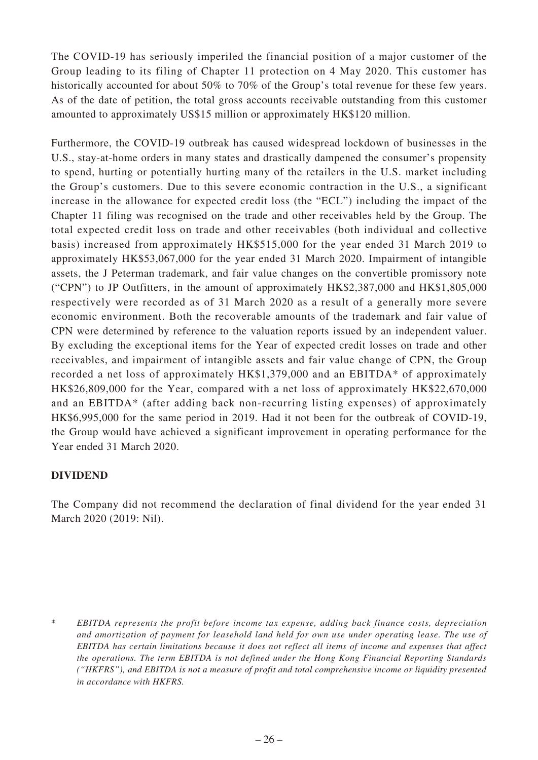The COVID-19 has seriously imperiled the financial position of a major customer of the Group leading to its filing of Chapter 11 protection on 4 May 2020. This customer has historically accounted for about 50% to 70% of the Group's total revenue for these few years. As of the date of petition, the total gross accounts receivable outstanding from this customer amounted to approximately US\$15 million or approximately HK\$120 million.

Furthermore, the COVID-19 outbreak has caused widespread lockdown of businesses in the U.S., stay-at-home orders in many states and drastically dampened the consumer's propensity to spend, hurting or potentially hurting many of the retailers in the U.S. market including the Group's customers. Due to this severe economic contraction in the U.S., a significant increase in the allowance for expected credit loss (the "ECL") including the impact of the Chapter 11 filing was recognised on the trade and other receivables held by the Group. The total expected credit loss on trade and other receivables (both individual and collective basis) increased from approximately HK\$515,000 for the year ended 31 March 2019 to approximately HK\$53,067,000 for the year ended 31 March 2020. Impairment of intangible assets, the J Peterman trademark, and fair value changes on the convertible promissory note ("CPN") to JP Outfitters, in the amount of approximately HK\$2,387,000 and HK\$1,805,000 respectively were recorded as of 31 March 2020 as a result of a generally more severe economic environment. Both the recoverable amounts of the trademark and fair value of CPN were determined by reference to the valuation reports issued by an independent valuer. By excluding the exceptional items for the Year of expected credit losses on trade and other receivables, and impairment of intangible assets and fair value change of CPN, the Group recorded a net loss of approximately HK\$1,379,000 and an EBITDA\* of approximately HK\$26,809,000 for the Year, compared with a net loss of approximately HK\$22,670,000 and an EBITDA\* (after adding back non-recurring listing expenses) of approximately HK\$6,995,000 for the same period in 2019. Had it not been for the outbreak of COVID-19, the Group would have achieved a significant improvement in operating performance for the Year ended 31 March 2020.

# **DIVIDEND**

The Company did not recommend the declaration of final dividend for the year ended 31 March 2020 (2019: Nil).

<sup>\*</sup> *EBITDA represents the profit before income tax expense, adding back finance costs, depreciation and amortization of payment for leasehold land held for own use under operating lease. The use of EBITDA has certain limitations because it does not reflect all items of income and expenses that affect the operations. The term EBITDA is not defined under the Hong Kong Financial Reporting Standards ("HKFRS"), and EBITDA is not a measure of profit and total comprehensive income or liquidity presented in accordance with HKFRS.*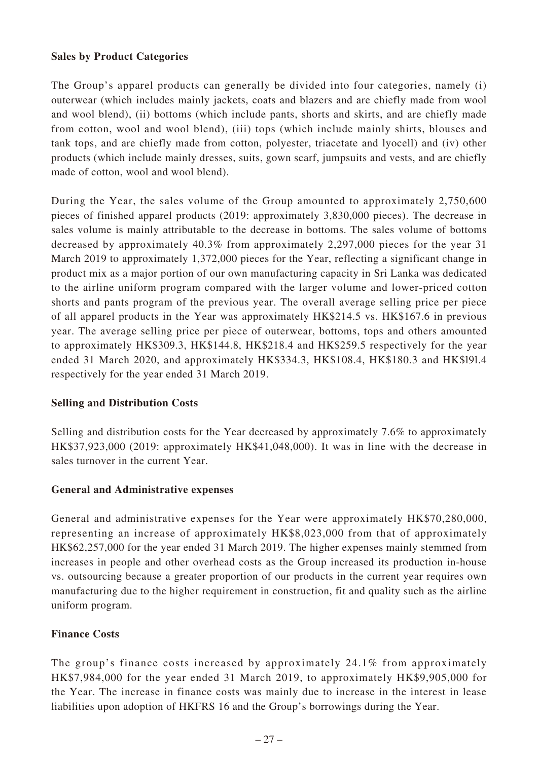## **Sales by Product Categories**

The Group's apparel products can generally be divided into four categories, namely (i) outerwear (which includes mainly jackets, coats and blazers and are chiefly made from wool and wool blend), (ii) bottoms (which include pants, shorts and skirts, and are chiefly made from cotton, wool and wool blend), (iii) tops (which include mainly shirts, blouses and tank tops, and are chiefly made from cotton, polyester, triacetate and lyocell) and (iv) other products (which include mainly dresses, suits, gown scarf, jumpsuits and vests, and are chiefly made of cotton, wool and wool blend).

During the Year, the sales volume of the Group amounted to approximately 2,750,600 pieces of finished apparel products (2019: approximately 3,830,000 pieces). The decrease in sales volume is mainly attributable to the decrease in bottoms. The sales volume of bottoms decreased by approximately 40.3% from approximately 2,297,000 pieces for the year 31 March 2019 to approximately 1,372,000 pieces for the Year, reflecting a significant change in product mix as a major portion of our own manufacturing capacity in Sri Lanka was dedicated to the airline uniform program compared with the larger volume and lower-priced cotton shorts and pants program of the previous year. The overall average selling price per piece of all apparel products in the Year was approximately HK\$214.5 vs. HK\$167.6 in previous year. The average selling price per piece of outerwear, bottoms, tops and others amounted to approximately HK\$309.3, HK\$144.8, HK\$218.4 and HK\$259.5 respectively for the year ended 31 March 2020, and approximately HK\$334.3, HK\$108.4, HK\$180.3 and HK\$l9l.4 respectively for the year ended 31 March 2019.

## **Selling and Distribution Costs**

Selling and distribution costs for the Year decreased by approximately 7.6% to approximately HK\$37,923,000 (2019: approximately HK\$41,048,000). It was in line with the decrease in sales turnover in the current Year.

## **General and Administrative expenses**

General and administrative expenses for the Year were approximately HK\$70,280,000, representing an increase of approximately HK\$8,023,000 from that of approximately HK\$62,257,000 for the year ended 31 March 2019. The higher expenses mainly stemmed from increases in people and other overhead costs as the Group increased its production in-house vs. outsourcing because a greater proportion of our products in the current year requires own manufacturing due to the higher requirement in construction, fit and quality such as the airline uniform program.

## **Finance Costs**

The group's finance costs increased by approximately 24.1% from approximately HK\$7,984,000 for the year ended 31 March 2019, to approximately HK\$9,905,000 for the Year. The increase in finance costs was mainly due to increase in the interest in lease liabilities upon adoption of HKFRS 16 and the Group's borrowings during the Year.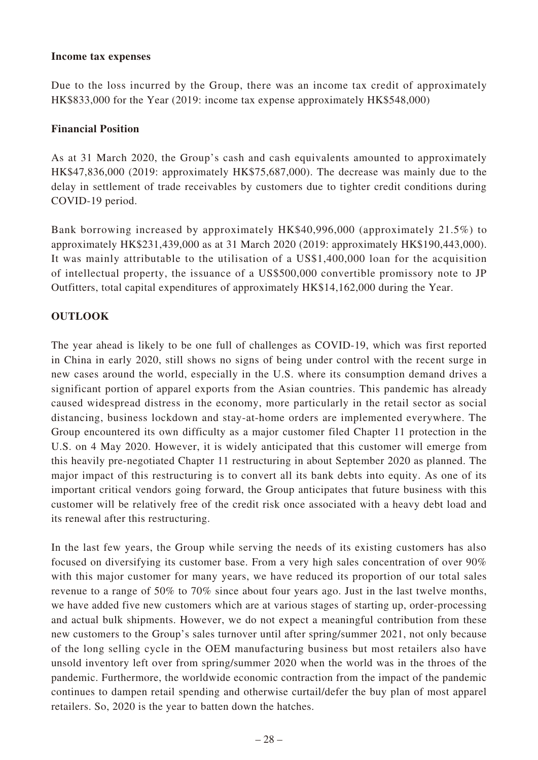### **Income tax expenses**

Due to the loss incurred by the Group, there was an income tax credit of approximately HK\$833,000 for the Year (2019: income tax expense approximately HK\$548,000)

## **Financial Position**

As at 31 March 2020, the Group's cash and cash equivalents amounted to approximately HK\$47,836,000 (2019: approximately HK\$75,687,000). The decrease was mainly due to the delay in settlement of trade receivables by customers due to tighter credit conditions during COVID-19 period.

Bank borrowing increased by approximately HK\$40,996,000 (approximately 21.5%) to approximately HK\$231,439,000 as at 31 March 2020 (2019: approximately HK\$190,443,000). It was mainly attributable to the utilisation of a US\$1,400,000 loan for the acquisition of intellectual property, the issuance of a US\$500,000 convertible promissory note to JP Outfitters, total capital expenditures of approximately HK\$14,162,000 during the Year.

# **OUTLOOK**

The year ahead is likely to be one full of challenges as COVID-19, which was first reported in China in early 2020, still shows no signs of being under control with the recent surge in new cases around the world, especially in the U.S. where its consumption demand drives a significant portion of apparel exports from the Asian countries. This pandemic has already caused widespread distress in the economy, more particularly in the retail sector as social distancing, business lockdown and stay-at-home orders are implemented everywhere. The Group encountered its own difficulty as a major customer filed Chapter 11 protection in the U.S. on 4 May 2020. However, it is widely anticipated that this customer will emerge from this heavily pre-negotiated Chapter 11 restructuring in about September 2020 as planned. The major impact of this restructuring is to convert all its bank debts into equity. As one of its important critical vendors going forward, the Group anticipates that future business with this customer will be relatively free of the credit risk once associated with a heavy debt load and its renewal after this restructuring.

In the last few years, the Group while serving the needs of its existing customers has also focused on diversifying its customer base. From a very high sales concentration of over 90% with this major customer for many years, we have reduced its proportion of our total sales revenue to a range of 50% to 70% since about four years ago. Just in the last twelve months, we have added five new customers which are at various stages of starting up, order-processing and actual bulk shipments. However, we do not expect a meaningful contribution from these new customers to the Group's sales turnover until after spring/summer 2021, not only because of the long selling cycle in the OEM manufacturing business but most retailers also have unsold inventory left over from spring/summer 2020 when the world was in the throes of the pandemic. Furthermore, the worldwide economic contraction from the impact of the pandemic continues to dampen retail spending and otherwise curtail/defer the buy plan of most apparel retailers. So, 2020 is the year to batten down the hatches.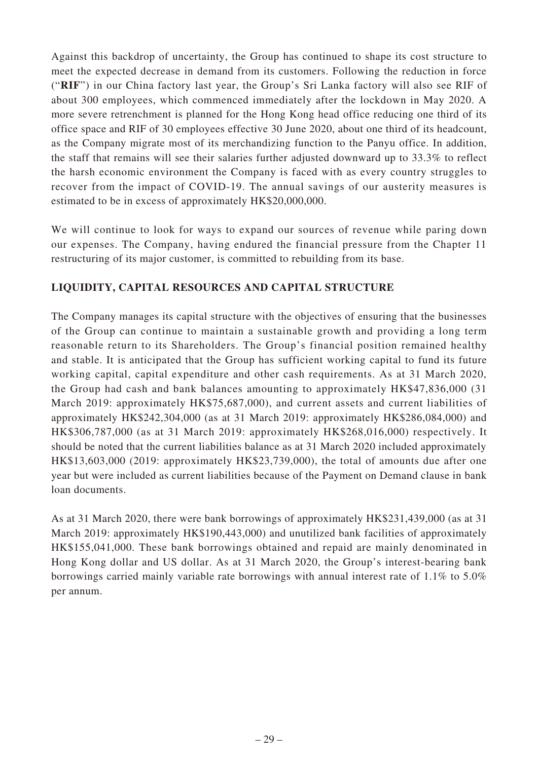Against this backdrop of uncertainty, the Group has continued to shape its cost structure to meet the expected decrease in demand from its customers. Following the reduction in force ("**RIF**") in our China factory last year, the Group's Sri Lanka factory will also see RIF of about 300 employees, which commenced immediately after the lockdown in May 2020. A more severe retrenchment is planned for the Hong Kong head office reducing one third of its office space and RIF of 30 employees effective 30 June 2020, about one third of its headcount, as the Company migrate most of its merchandizing function to the Panyu office. In addition, the staff that remains will see their salaries further adjusted downward up to 33.3% to reflect the harsh economic environment the Company is faced with as every country struggles to recover from the impact of COVID-19. The annual savings of our austerity measures is estimated to be in excess of approximately HK\$20,000,000.

We will continue to look for ways to expand our sources of revenue while paring down our expenses. The Company, having endured the financial pressure from the Chapter 11 restructuring of its major customer, is committed to rebuilding from its base.

# **LIQUIDITY, CAPITAL RESOURCES AND CAPITAL STRUCTURE**

The Company manages its capital structure with the objectives of ensuring that the businesses of the Group can continue to maintain a sustainable growth and providing a long term reasonable return to its Shareholders. The Group's financial position remained healthy and stable. It is anticipated that the Group has sufficient working capital to fund its future working capital, capital expenditure and other cash requirements. As at 31 March 2020, the Group had cash and bank balances amounting to approximately HK\$47,836,000 (31 March 2019: approximately HK\$75,687,000), and current assets and current liabilities of approximately HK\$242,304,000 (as at 31 March 2019: approximately HK\$286,084,000) and HK\$306,787,000 (as at 31 March 2019: approximately HK\$268,016,000) respectively. It should be noted that the current liabilities balance as at 31 March 2020 included approximately HK\$13,603,000 (2019: approximately HK\$23,739,000), the total of amounts due after one year but were included as current liabilities because of the Payment on Demand clause in bank loan documents.

As at 31 March 2020, there were bank borrowings of approximately HK\$231,439,000 (as at 31 March 2019: approximately HK\$190,443,000) and unutilized bank facilities of approximately HK\$155,041,000. These bank borrowings obtained and repaid are mainly denominated in Hong Kong dollar and US dollar. As at 31 March 2020, the Group's interest-bearing bank borrowings carried mainly variable rate borrowings with annual interest rate of 1.1% to 5.0% per annum.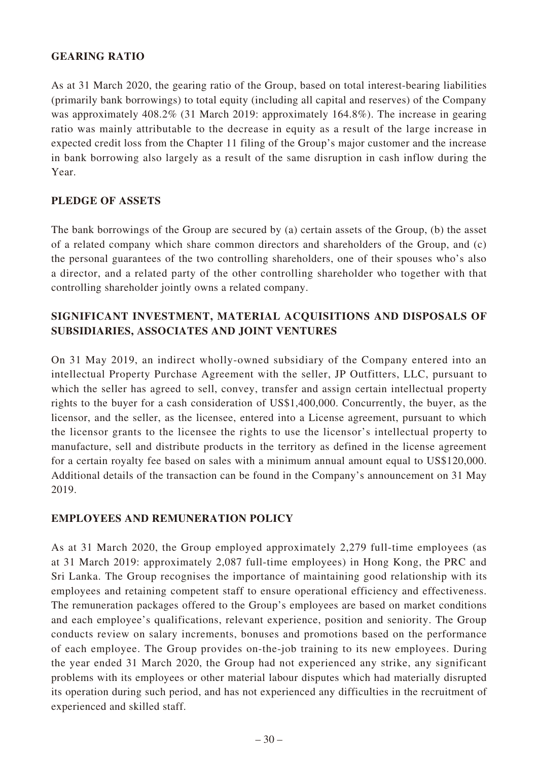## **GEARING RATIO**

As at 31 March 2020, the gearing ratio of the Group, based on total interest-bearing liabilities (primarily bank borrowings) to total equity (including all capital and reserves) of the Company was approximately 408.2% (31 March 2019: approximately 164.8%). The increase in gearing ratio was mainly attributable to the decrease in equity as a result of the large increase in expected credit loss from the Chapter 11 filing of the Group's major customer and the increase in bank borrowing also largely as a result of the same disruption in cash inflow during the Year.

# **PLEDGE OF ASSETS**

The bank borrowings of the Group are secured by (a) certain assets of the Group, (b) the asset of a related company which share common directors and shareholders of the Group, and (c) the personal guarantees of the two controlling shareholders, one of their spouses who's also a director, and a related party of the other controlling shareholder who together with that controlling shareholder jointly owns a related company.

# **SIGNIFICANT INVESTMENT, MATERIAL ACQUISITIONS AND DISPOSALS OF SUBSIDIARIES, ASSOCIATES AND JOINT VENTURES**

On 31 May 2019, an indirect wholly-owned subsidiary of the Company entered into an intellectual Property Purchase Agreement with the seller, JP Outfitters, LLC, pursuant to which the seller has agreed to sell, convey, transfer and assign certain intellectual property rights to the buyer for a cash consideration of US\$1,400,000. Concurrently, the buyer, as the licensor, and the seller, as the licensee, entered into a License agreement, pursuant to which the licensor grants to the licensee the rights to use the licensor's intellectual property to manufacture, sell and distribute products in the territory as defined in the license agreement for a certain royalty fee based on sales with a minimum annual amount equal to US\$120,000. Additional details of the transaction can be found in the Company's announcement on 31 May 2019.

## **EMPLOYEES AND REMUNERATION POLICY**

As at 31 March 2020, the Group employed approximately 2,279 full-time employees (as at 31 March 2019: approximately 2,087 full-time employees) in Hong Kong, the PRC and Sri Lanka. The Group recognises the importance of maintaining good relationship with its employees and retaining competent staff to ensure operational efficiency and effectiveness. The remuneration packages offered to the Group's employees are based on market conditions and each employee's qualifications, relevant experience, position and seniority. The Group conducts review on salary increments, bonuses and promotions based on the performance of each employee. The Group provides on-the-job training to its new employees. During the year ended 31 March 2020, the Group had not experienced any strike, any significant problems with its employees or other material labour disputes which had materially disrupted its operation during such period, and has not experienced any difficulties in the recruitment of experienced and skilled staff.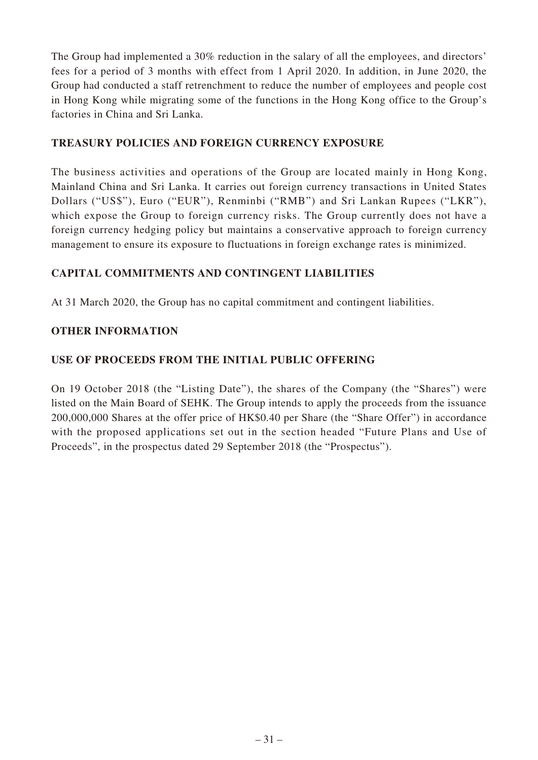The Group had implemented a 30% reduction in the salary of all the employees, and directors' fees for a period of 3 months with effect from 1 April 2020. In addition, in June 2020, the Group had conducted a staff retrenchment to reduce the number of employees and people cost in Hong Kong while migrating some of the functions in the Hong Kong office to the Group's factories in China and Sri Lanka.

# **TREASURY POLICIES AND FOREIGN CURRENCY EXPOSURE**

The business activities and operations of the Group are located mainly in Hong Kong, Mainland China and Sri Lanka. It carries out foreign currency transactions in United States Dollars ("US\$"), Euro ("EUR"), Renminbi ("RMB") and Sri Lankan Rupees ("LKR"), which expose the Group to foreign currency risks. The Group currently does not have a foreign currency hedging policy but maintains a conservative approach to foreign currency management to ensure its exposure to fluctuations in foreign exchange rates is minimized.

# **CAPITAL COMMITMENTS AND CONTINGENT LIABILITIES**

At 31 March 2020, the Group has no capital commitment and contingent liabilities.

# **OTHER INFORMATION**

# **USE OF PROCEEDS FROM THE INITIAL PUBLIC OFFERING**

On 19 October 2018 (the "Listing Date"), the shares of the Company (the "Shares") were listed on the Main Board of SEHK. The Group intends to apply the proceeds from the issuance 200,000,000 Shares at the offer price of HK\$0.40 per Share (the "Share Offer") in accordance with the proposed applications set out in the section headed "Future Plans and Use of Proceeds", in the prospectus dated 29 September 2018 (the "Prospectus").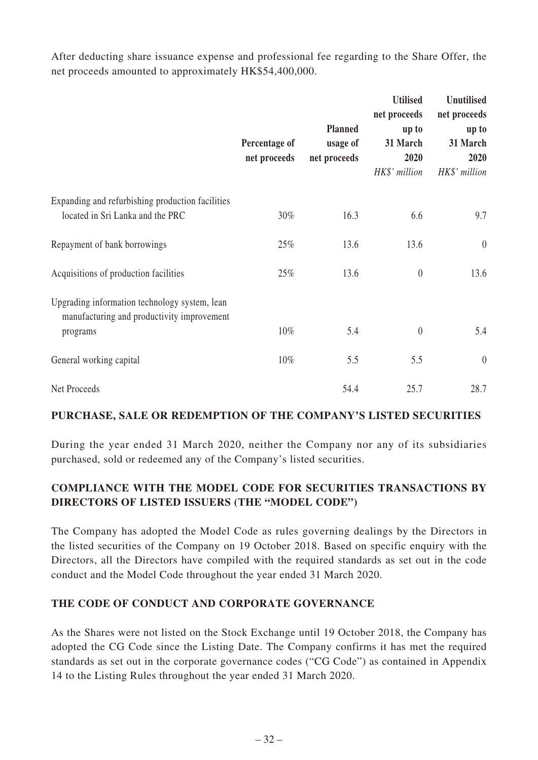After deducting share issuance expense and professional fee regarding to the Share Offer, the net proceeds amounted to approximately HK\$54,400,000.

|                                                                                                         | Percentage of<br>net proceeds | <b>Planned</b><br>usage of<br>net proceeds | <b>Utilised</b><br>net proceeds<br>up to<br>31 March<br>2020<br>HK\$' million | <b>Unutilised</b><br>net proceeds<br>up to<br>31 March<br>2020<br>HK\$' million |
|---------------------------------------------------------------------------------------------------------|-------------------------------|--------------------------------------------|-------------------------------------------------------------------------------|---------------------------------------------------------------------------------|
| Expanding and refurbishing production facilities<br>located in Sri Lanka and the PRC                    | 30%                           | 16.3                                       | 6.6                                                                           | 9.7                                                                             |
| Repayment of bank borrowings                                                                            | 25%                           | 13.6                                       | 13.6                                                                          | $\theta$                                                                        |
| Acquisitions of production facilities                                                                   | 25%                           | 13.6                                       | $\theta$                                                                      | 13.6                                                                            |
| Upgrading information technology system, lean<br>manufacturing and productivity improvement<br>programs | $10\%$                        | 5.4                                        | $\theta$                                                                      | 5.4                                                                             |
| General working capital                                                                                 | $10\%$                        | 5.5                                        | 5.5                                                                           | $\theta$                                                                        |
| Net Proceeds                                                                                            |                               | 54.4                                       | 25.7                                                                          | 28.7                                                                            |

# **PURCHASE, SALE OR REDEMPTION OF THE COMPANY'S LISTED SECURITIES**

During the year ended 31 March 2020, neither the Company nor any of its subsidiaries purchased, sold or redeemed any of the Company's listed securities.

# **COMPLIANCE WITH THE MODEL CODE FOR SECURITIES TRANSACTIONS BY DIRECTORS OF LISTED ISSUERS (THE "MODEL CODE")**

The Company has adopted the Model Code as rules governing dealings by the Directors in the listed securities of the Company on 19 October 2018. Based on specific enquiry with the Directors, all the Directors have compiled with the required standards as set out in the code conduct and the Model Code throughout the year ended 31 March 2020.

## **THE CODE OF CONDUCT AND CORPORATE GOVERNANCE**

As the Shares were not listed on the Stock Exchange until 19 October 2018, the Company has adopted the CG Code since the Listing Date. The Company confirms it has met the required standards as set out in the corporate governance codes ("CG Code") as contained in Appendix 14 to the Listing Rules throughout the year ended 31 March 2020.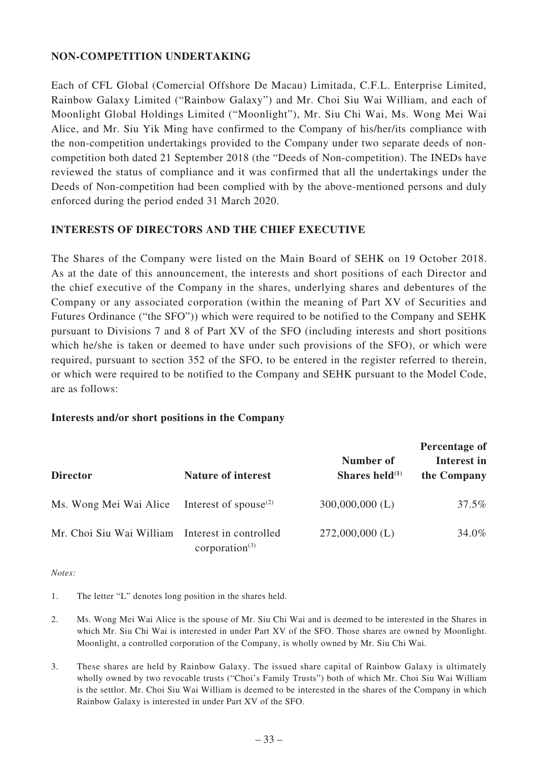## **NON-COMPETITION UNDERTAKING**

Each of CFL Global (Comercial Offshore De Macau) Limitada, C.F.L. Enterprise Limited, Rainbow Galaxy Limited ("Rainbow Galaxy") and Mr. Choi Siu Wai William, and each of Moonlight Global Holdings Limited ("Moonlight"), Mr. Siu Chi Wai, Ms. Wong Mei Wai Alice, and Mr. Siu Yik Ming have confirmed to the Company of his/her/its compliance with the non-competition undertakings provided to the Company under two separate deeds of noncompetition both dated 21 September 2018 (the "Deeds of Non-competition). The INEDs have reviewed the status of compliance and it was confirmed that all the undertakings under the Deeds of Non-competition had been complied with by the above-mentioned persons and duly enforced during the period ended 31 March 2020.

# **INTERESTS OF DIRECTORS AND THE CHIEF EXECUTIVE**

The Shares of the Company were listed on the Main Board of SEHK on 19 October 2018. As at the date of this announcement, the interests and short positions of each Director and the chief executive of the Company in the shares, underlying shares and debentures of the Company or any associated corporation (within the meaning of Part XV of Securities and Futures Ordinance ("the SFO")) which were required to be notified to the Company and SEHK pursuant to Divisions 7 and 8 of Part XV of the SFO (including interests and short positions which he/she is taken or deemed to have under such provisions of the SFO), or which were required, pursuant to section 352 of the SFO, to be entered in the register referred to therein, or which were required to be notified to the Company and SEHK pursuant to the Model Code, are as follows:

## **Interests and/or short positions in the Company**

|                                                 |                                                |                                | Percentage of              |  |
|-------------------------------------------------|------------------------------------------------|--------------------------------|----------------------------|--|
| <b>Director</b>                                 | <b>Nature of interest</b>                      | Number of<br>Shares held $(1)$ | Interest in<br>the Company |  |
| Ms. Wong Mei Wai Alice                          | Interest of spouse <sup><math>(2)</math></sup> | $300,000,000$ (L)              | 37.5%                      |  |
| Mr. Choi Siu Wai William Interest in controlled | corporation $(3)$                              | $272,000,000$ (L)              | 34.0%                      |  |

*Notes:*

- 1. The letter "L" denotes long position in the shares held.
- 2. Ms. Wong Mei Wai Alice is the spouse of Mr. Siu Chi Wai and is deemed to be interested in the Shares in which Mr. Siu Chi Wai is interested in under Part XV of the SFO. Those shares are owned by Moonlight. Moonlight, a controlled corporation of the Company, is wholly owned by Mr. Siu Chi Wai.
- 3. These shares are held by Rainbow Galaxy. The issued share capital of Rainbow Galaxy is ultimately wholly owned by two revocable trusts ("Choi's Family Trusts") both of which Mr. Choi Siu Wai William is the settlor. Mr. Choi Siu Wai William is deemed to be interested in the shares of the Company in which Rainbow Galaxy is interested in under Part XV of the SFO.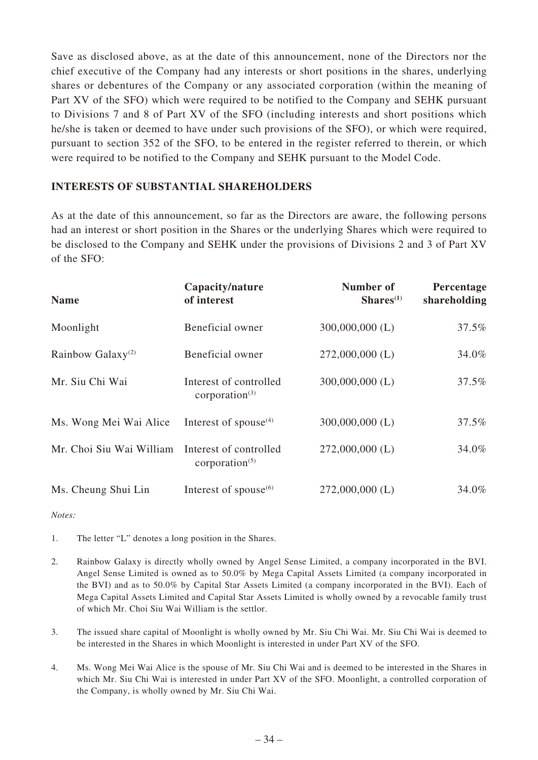Save as disclosed above, as at the date of this announcement, none of the Directors nor the chief executive of the Company had any interests or short positions in the shares, underlying shares or debentures of the Company or any associated corporation (within the meaning of Part XV of the SFO) which were required to be notified to the Company and SEHK pursuant to Divisions 7 and 8 of Part XV of the SFO (including interests and short positions which he/she is taken or deemed to have under such provisions of the SFO), or which were required, pursuant to section 352 of the SFO, to be entered in the register referred to therein, or which were required to be notified to the Company and SEHK pursuant to the Model Code.

### **INTERESTS OF SUBSTANTIAL SHAREHOLDERS**

As at the date of this announcement, so far as the Directors are aware, the following persons had an interest or short position in the Shares or the underlying Shares which were required to be disclosed to the Company and SEHK under the provisions of Divisions 2 and 3 of Part XV of the SFO:

| <b>Name</b>                   | Capacity/nature<br>of interest              | Number of<br>$Shares(1)$ | Percentage<br>shareholding |
|-------------------------------|---------------------------------------------|--------------------------|----------------------------|
| Moonlight                     | Beneficial owner                            | $300,000,000$ (L)        | 37.5%                      |
| Rainbow Galaxy <sup>(2)</sup> | Beneficial owner                            | $272,000,000$ (L)        | 34.0%                      |
| Mr. Siu Chi Wai               | Interest of controlled<br>corporation $(3)$ | $300,000,000$ (L)        | 37.5%                      |
| Ms. Wong Mei Wai Alice        | Interest of spouse $(4)$                    | $300,000,000$ (L)        | 37.5%                      |
| Mr. Choi Siu Wai William      | Interest of controlled<br>corporation $(5)$ | $272,000,000$ (L)        | 34.0%                      |
| Ms. Cheung Shui Lin           | Interest of spouse $(6)$                    | $272,000,000$ (L)        | 34.0%                      |

*Notes:*

1. The letter "L" denotes a long position in the Shares.

- 2. Rainbow Galaxy is directly wholly owned by Angel Sense Limited, a company incorporated in the BVI. Angel Sense Limited is owned as to 50.0% by Mega Capital Assets Limited (a company incorporated in the BVI) and as to 50.0% by Capital Star Assets Limited (a company incorporated in the BVI). Each of Mega Capital Assets Limited and Capital Star Assets Limited is wholly owned by a revocable family trust of which Mr. Choi Siu Wai William is the settlor.
- 3. The issued share capital of Moonlight is wholly owned by Mr. Siu Chi Wai. Mr. Siu Chi Wai is deemed to be interested in the Shares in which Moonlight is interested in under Part XV of the SFO.
- 4. Ms. Wong Mei Wai Alice is the spouse of Mr. Siu Chi Wai and is deemed to be interested in the Shares in which Mr. Siu Chi Wai is interested in under Part XV of the SFO. Moonlight, a controlled corporation of the Company, is wholly owned by Mr. Siu Chi Wai.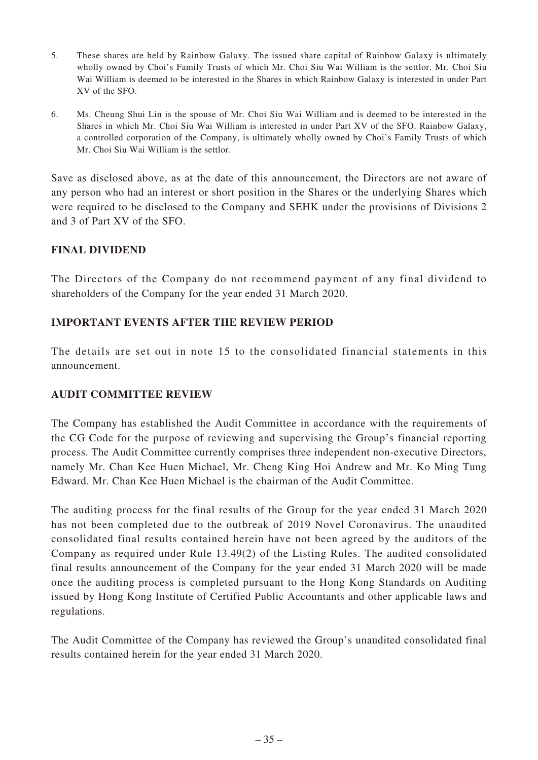- 5. These shares are held by Rainbow Galaxy. The issued share capital of Rainbow Galaxy is ultimately wholly owned by Choi's Family Trusts of which Mr. Choi Siu Wai William is the settlor. Mr. Choi Siu Wai William is deemed to be interested in the Shares in which Rainbow Galaxy is interested in under Part XV of the SFO.
- 6. Ms. Cheung Shui Lin is the spouse of Mr. Choi Siu Wai William and is deemed to be interested in the Shares in which Mr. Choi Siu Wai William is interested in under Part XV of the SFO. Rainbow Galaxy, a controlled corporation of the Company, is ultimately wholly owned by Choi's Family Trusts of which Mr. Choi Siu Wai William is the settlor.

Save as disclosed above, as at the date of this announcement, the Directors are not aware of any person who had an interest or short position in the Shares or the underlying Shares which were required to be disclosed to the Company and SEHK under the provisions of Divisions 2 and 3 of Part XV of the SFO.

# **FINAL DIVIDEND**

The Directors of the Company do not recommend payment of any final dividend to shareholders of the Company for the year ended 31 March 2020.

# **IMPORTANT EVENTS AFTER THE REVIEW PERIOD**

The details are set out in note 15 to the consolidated financial statements in this announcement.

## **AUDIT COMMITTEE REVIEW**

The Company has established the Audit Committee in accordance with the requirements of the CG Code for the purpose of reviewing and supervising the Group's financial reporting process. The Audit Committee currently comprises three independent non-executive Directors, namely Mr. Chan Kee Huen Michael, Mr. Cheng King Hoi Andrew and Mr. Ko Ming Tung Edward. Mr. Chan Kee Huen Michael is the chairman of the Audit Committee.

The auditing process for the final results of the Group for the year ended 31 March 2020 has not been completed due to the outbreak of 2019 Novel Coronavirus. The unaudited consolidated final results contained herein have not been agreed by the auditors of the Company as required under Rule 13.49(2) of the Listing Rules. The audited consolidated final results announcement of the Company for the year ended 31 March 2020 will be made once the auditing process is completed pursuant to the Hong Kong Standards on Auditing issued by Hong Kong Institute of Certified Public Accountants and other applicable laws and regulations.

The Audit Committee of the Company has reviewed the Group's unaudited consolidated final results contained herein for the year ended 31 March 2020.